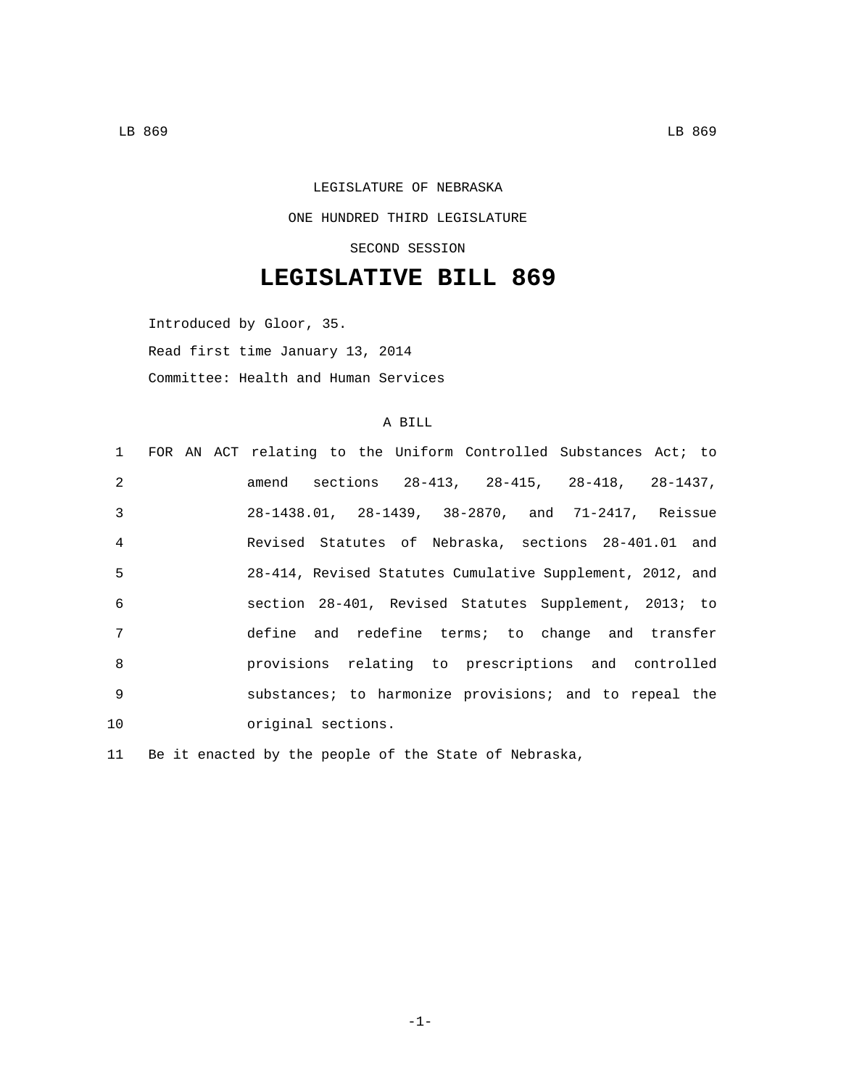## LEGISLATURE OF NEBRASKA ONE HUNDRED THIRD LEGISLATURE SECOND SESSION

## **LEGISLATIVE BILL 869**

Introduced by Gloor, 35. Read first time January 13, 2014 Committee: Health and Human Services

## A BILL

|                |  | 1 FOR AN ACT relating to the Uniform Controlled Substances Act; to |
|----------------|--|--------------------------------------------------------------------|
| $\mathfrak{D}$ |  | amend sections 28-413, 28-415, 28-418, 28-1437,                    |
| 3              |  | 28-1438.01, 28-1439, 38-2870, and 71-2417, Reissue                 |
| $\overline{4}$ |  | Revised Statutes of Nebraska, sections 28-401.01 and               |
| 5              |  | 28-414, Revised Statutes Cumulative Supplement, 2012, and          |
| 6              |  | section 28-401, Revised Statutes Supplement, 2013; to              |
| 7              |  | define and redefine terms; to change and transfer                  |
| 8              |  | provisions relating to prescriptions and controlled                |
| 9              |  | substances; to harmonize provisions; and to repeal the             |
| 10             |  | original sections.                                                 |

11 Be it enacted by the people of the State of Nebraska,

-1-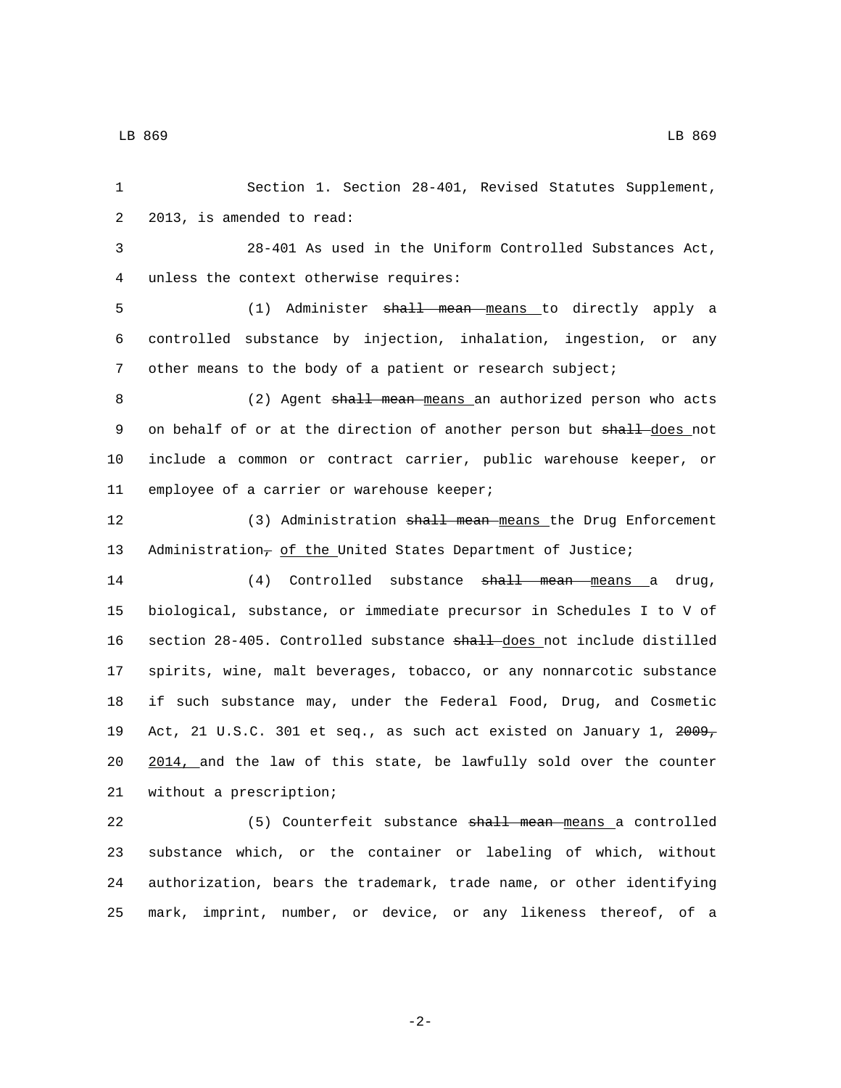1 Section 1. Section 28-401, Revised Statutes Supplement, 2 2013, is amended to read: 3 28-401 As used in the Uniform Controlled Substances Act, 4 unless the context otherwise requires: 5 (1) Administer shall mean means to directly apply a 6 controlled substance by injection, inhalation, ingestion, or any 7 other means to the body of a patient or research subject; 8 (2) Agent shall mean means an authorized person who acts 9 on behalf of or at the direction of another person but shall-does not 10 include a common or contract carrier, public warehouse keeper, or 11 employee of a carrier or warehouse keeper; 12 (3) Administration shall mean means the Drug Enforcement 13 Administration<sub> $\tau$ </sub> of the United States Department of Justice; 14 (4) Controlled substance <del>shall mean means</del> a drug, 15 biological, substance, or immediate precursor in Schedules I to V of 16 section 28-405. Controlled substance shall does not include distilled 17 spirits, wine, malt beverages, tobacco, or any nonnarcotic substance 18 if such substance may, under the Federal Food, Drug, and Cosmetic 19 Act, 21 U.S.C. 301 et seq., as such act existed on January 1, 2009, 20 2014, and the law of this state, be lawfully sold over the counter 21 without a prescription; 22 (5) Counterfeit substance shall mean means a controlled

23 substance which, or the container or labeling of which, without 24 authorization, bears the trademark, trade name, or other identifying 25 mark, imprint, number, or device, or any likeness thereof, of a

LB 869 LB 869

-2-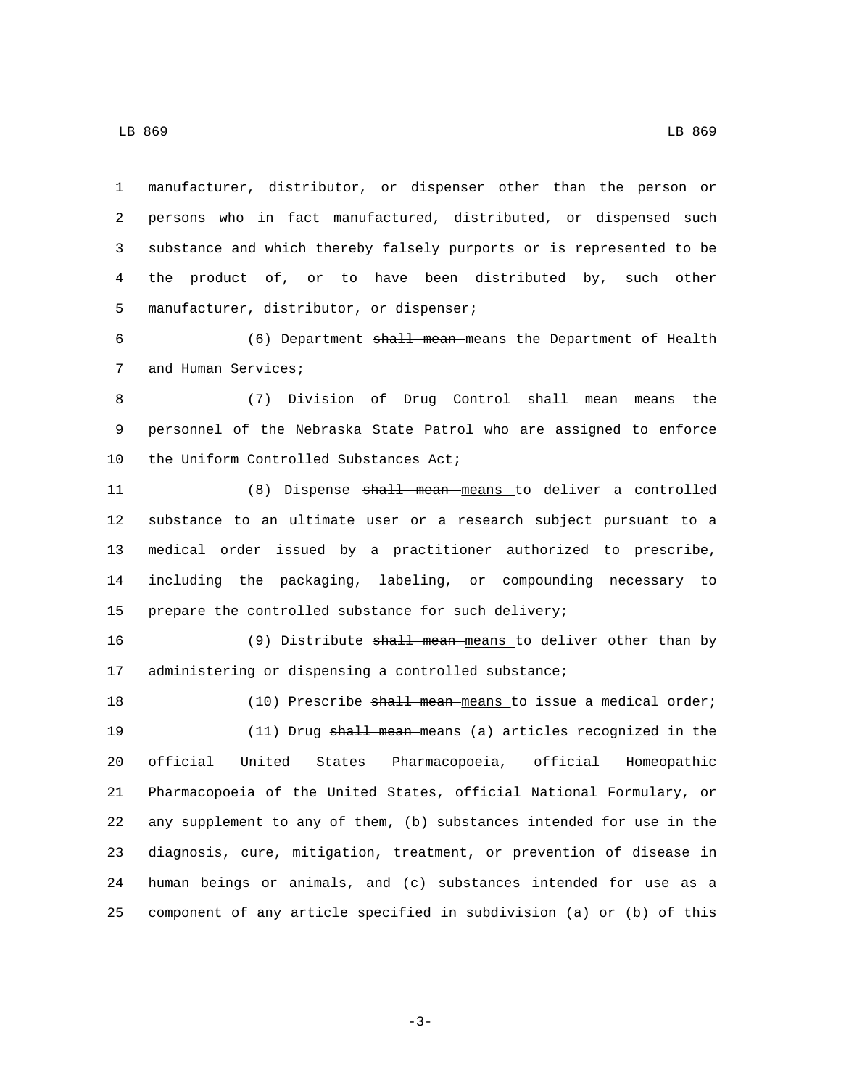LB 869 LB 869

 manufacturer, distributor, or dispenser other than the person or persons who in fact manufactured, distributed, or dispensed such substance and which thereby falsely purports or is represented to be the product of, or to have been distributed by, such other 5 manufacturer, distributor, or dispenser;

 (6) Department shall mean means the Department of Health 7 and Human Services;

 (7) Division of Drug Control shall mean means the personnel of the Nebraska State Patrol who are assigned to enforce 10 the Uniform Controlled Substances Act;

 (8) Dispense shall mean means to deliver a controlled substance to an ultimate user or a research subject pursuant to a medical order issued by a practitioner authorized to prescribe, including the packaging, labeling, or compounding necessary to prepare the controlled substance for such delivery;

 (9) Distribute shall mean means to deliver other than by administering or dispensing a controlled substance;

18 (10) Prescribe shall mean means to issue a medical order; 19 (11) Drug shall mean means (a) articles recognized in the official United States Pharmacopoeia, official Homeopathic Pharmacopoeia of the United States, official National Formulary, or any supplement to any of them, (b) substances intended for use in the diagnosis, cure, mitigation, treatment, or prevention of disease in human beings or animals, and (c) substances intended for use as a component of any article specified in subdivision (a) or (b) of this

-3-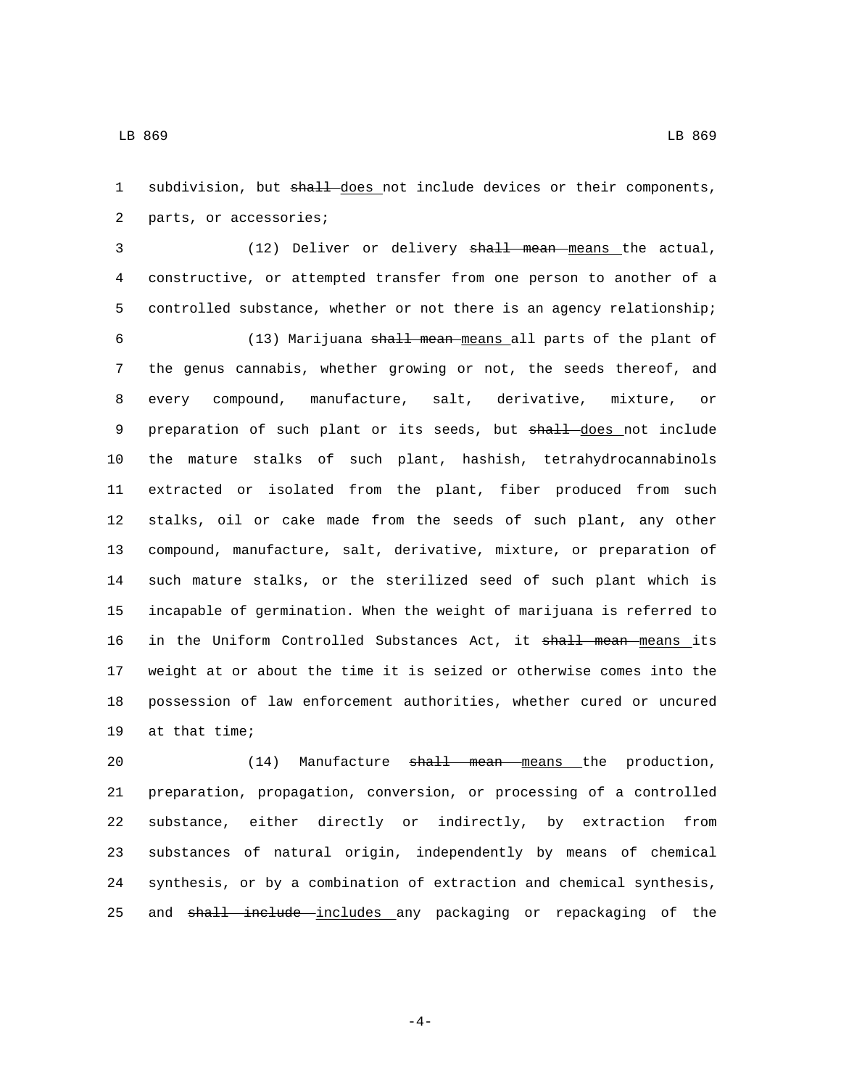1 subdivision, but shall does not include devices or their components, 2 parts, or accessories;

 (12) Deliver or delivery shall mean means the actual, constructive, or attempted transfer from one person to another of a controlled substance, whether or not there is an agency relationship;

 (13) Marijuana shall mean means all parts of the plant of the genus cannabis, whether growing or not, the seeds thereof, and every compound, manufacture, salt, derivative, mixture, or 9 preparation of such plant or its seeds, but shall does not include the mature stalks of such plant, hashish, tetrahydrocannabinols extracted or isolated from the plant, fiber produced from such stalks, oil or cake made from the seeds of such plant, any other compound, manufacture, salt, derivative, mixture, or preparation of such mature stalks, or the sterilized seed of such plant which is incapable of germination. When the weight of marijuana is referred to 16 in the Uniform Controlled Substances Act, it shall mean means its weight at or about the time it is seized or otherwise comes into the possession of law enforcement authorities, whether cured or uncured 19 at that time;

20 (14) Manufacture shall mean means the production, preparation, propagation, conversion, or processing of a controlled substance, either directly or indirectly, by extraction from substances of natural origin, independently by means of chemical synthesis, or by a combination of extraction and chemical synthesis, 25 and shall include includes any packaging or repackaging of the

-4-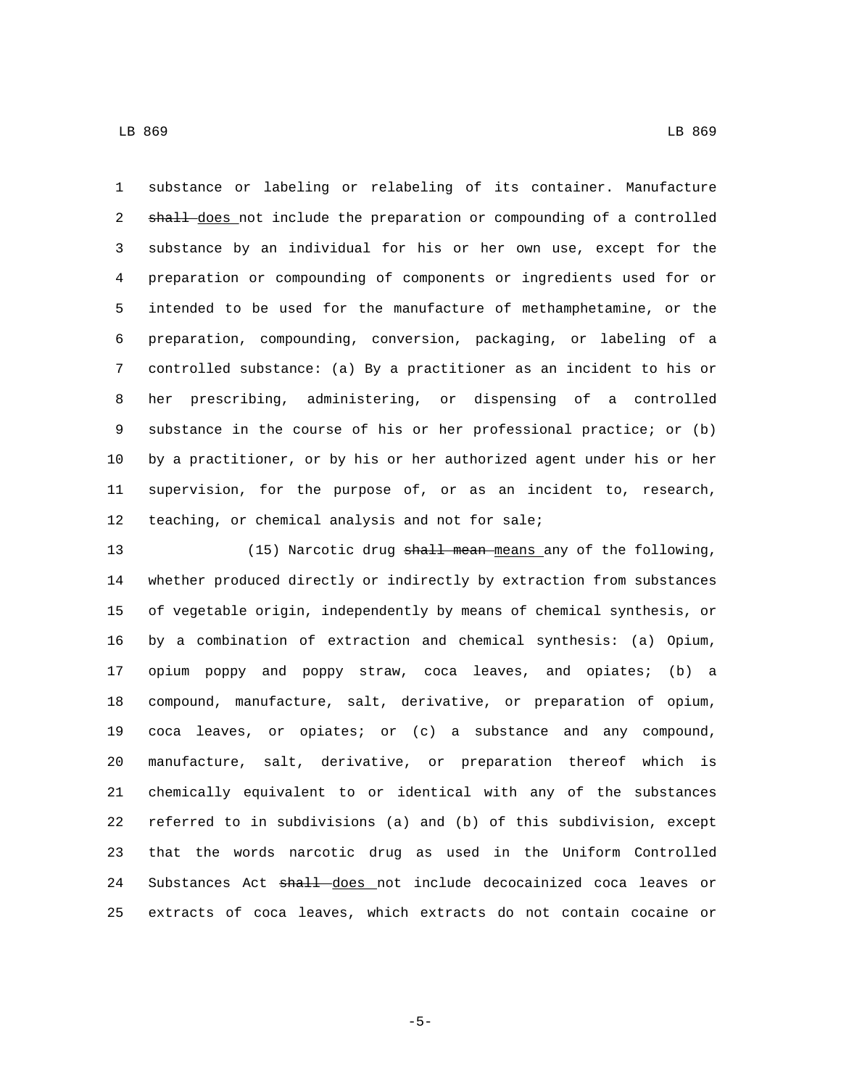substance or labeling or relabeling of its container. Manufacture 2 shall does not include the preparation or compounding of a controlled substance by an individual for his or her own use, except for the preparation or compounding of components or ingredients used for or intended to be used for the manufacture of methamphetamine, or the preparation, compounding, conversion, packaging, or labeling of a controlled substance: (a) By a practitioner as an incident to his or her prescribing, administering, or dispensing of a controlled substance in the course of his or her professional practice; or (b)

 by a practitioner, or by his or her authorized agent under his or her supervision, for the purpose of, or as an incident to, research, 12 teaching, or chemical analysis and not for sale;

13 (15) Narcotic drug shall mean means any of the following, whether produced directly or indirectly by extraction from substances of vegetable origin, independently by means of chemical synthesis, or by a combination of extraction and chemical synthesis: (a) Opium, opium poppy and poppy straw, coca leaves, and opiates; (b) a compound, manufacture, salt, derivative, or preparation of opium, coca leaves, or opiates; or (c) a substance and any compound, manufacture, salt, derivative, or preparation thereof which is chemically equivalent to or identical with any of the substances referred to in subdivisions (a) and (b) of this subdivision, except that the words narcotic drug as used in the Uniform Controlled 24 Substances Act shall does not include decocainized coca leaves or extracts of coca leaves, which extracts do not contain cocaine or

LB 869 LB 869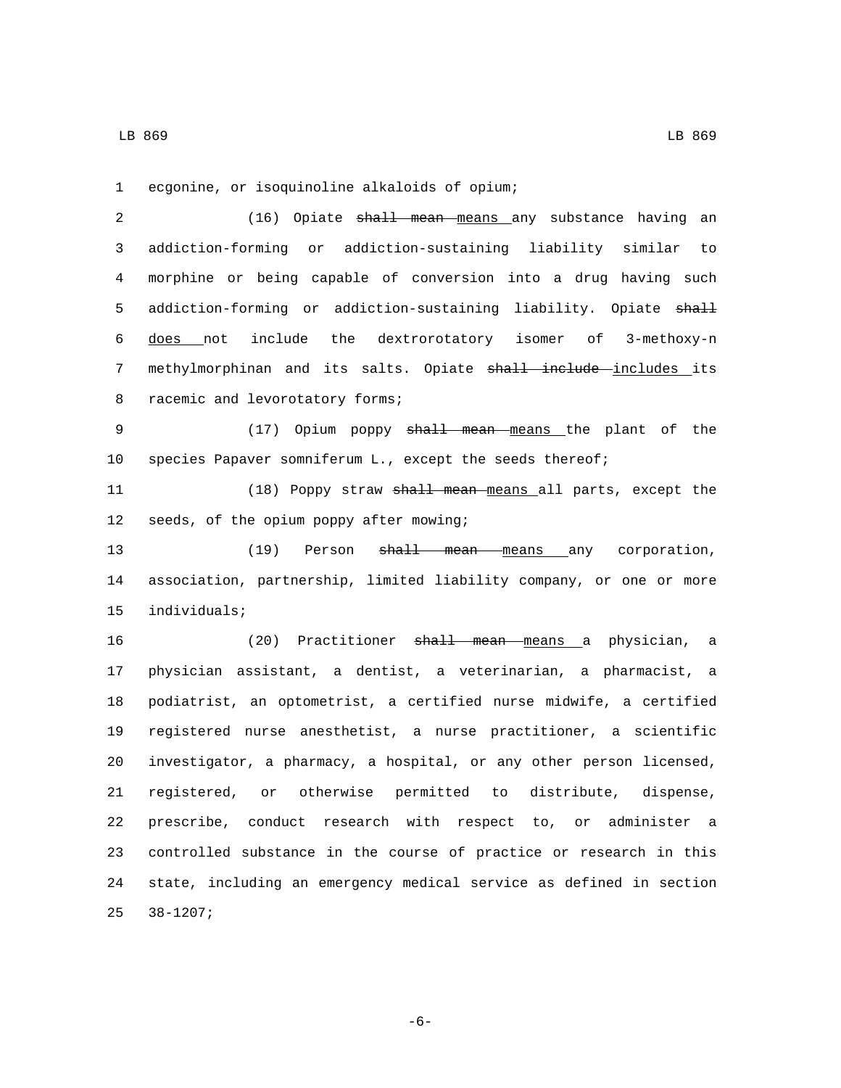LB 869 LB 869

1 ecgonine, or isoquinoline alkaloids of opium;

2 (16) Opiate shall mean means any substance having an 3 addiction-forming or addiction-sustaining liability similar to 4 morphine or being capable of conversion into a drug having such 5 addiction-forming or addiction-sustaining liability. Opiate shall 6 does not include the dextrorotatory isomer of 3-methoxy-n 7 methylmorphinan and its salts. Opiate shall include includes its 8 racemic and levorotatory forms;

9 (17) Opium poppy shall mean means the plant of the 10 species Papaver somniferum L., except the seeds thereof;

11 (18) Poppy straw shall mean means all parts, except the 12 seeds, of the opium poppy after mowing;

13 (19) Person <del>shall mean means</del> any corporation, 14 association, partnership, limited liability company, or one or more 15 individuals;

 (20) Practitioner shall mean means a physician, a physician assistant, a dentist, a veterinarian, a pharmacist, a podiatrist, an optometrist, a certified nurse midwife, a certified registered nurse anesthetist, a nurse practitioner, a scientific investigator, a pharmacy, a hospital, or any other person licensed, registered, or otherwise permitted to distribute, dispense, prescribe, conduct research with respect to, or administer a controlled substance in the course of practice or research in this state, including an emergency medical service as defined in section  $25$   $38-1207$ ;

-6-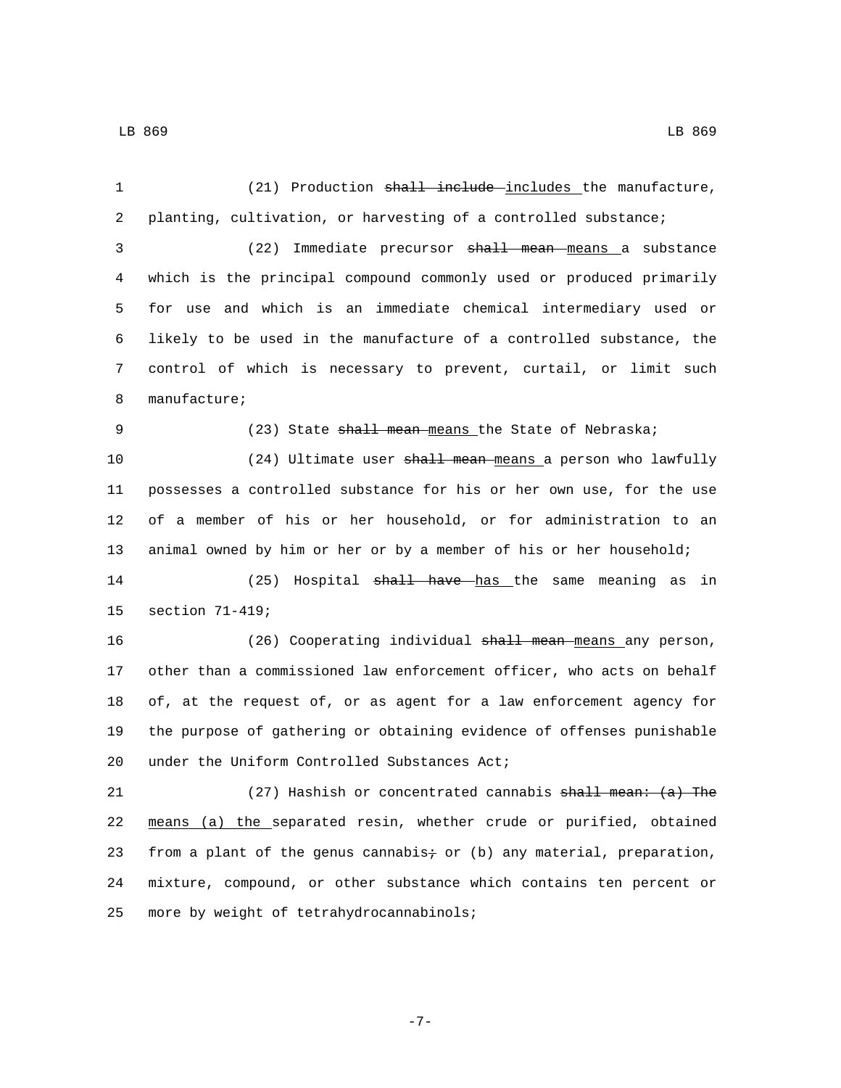1 (21) Production shall include includes the manufacture, 2 planting, cultivation, or harvesting of a controlled substance; 3 (22) Immediate precursor shall mean means a substance 4 which is the principal compound commonly used or produced primarily 5 for use and which is an immediate chemical intermediary used or 6 likely to be used in the manufacture of a controlled substance, the 7 control of which is necessary to prevent, curtail, or limit such 8 manufacture; 9 (23) State shall mean means the State of Nebraska; 10 (24) Ultimate user shall mean means a person who lawfully 11 possesses a controlled substance for his or her own use, for the use 12 of a member of his or her household, or for administration to an 13 animal owned by him or her or by a member of his or her household; 14 (25) Hospital <del>shall have has the same meaning as in</del> 15 section 71-419; 16 (26) Cooperating individual shall mean means any person, 17 other than a commissioned law enforcement officer, who acts on behalf 18 of, at the request of, or as agent for a law enforcement agency for 19 the purpose of gathering or obtaining evidence of offenses punishable 20 under the Uniform Controlled Substances Act; 21 (27) Hashish or concentrated cannabis shall mean: (a) The 22 means (a) the separated resin, whether crude or purified, obtained 23 from a plant of the genus cannabis $\div$  or (b) any material, preparation, 24 mixture, compound, or other substance which contains ten percent or 25 more by weight of tetrahydrocannabinols;

-7-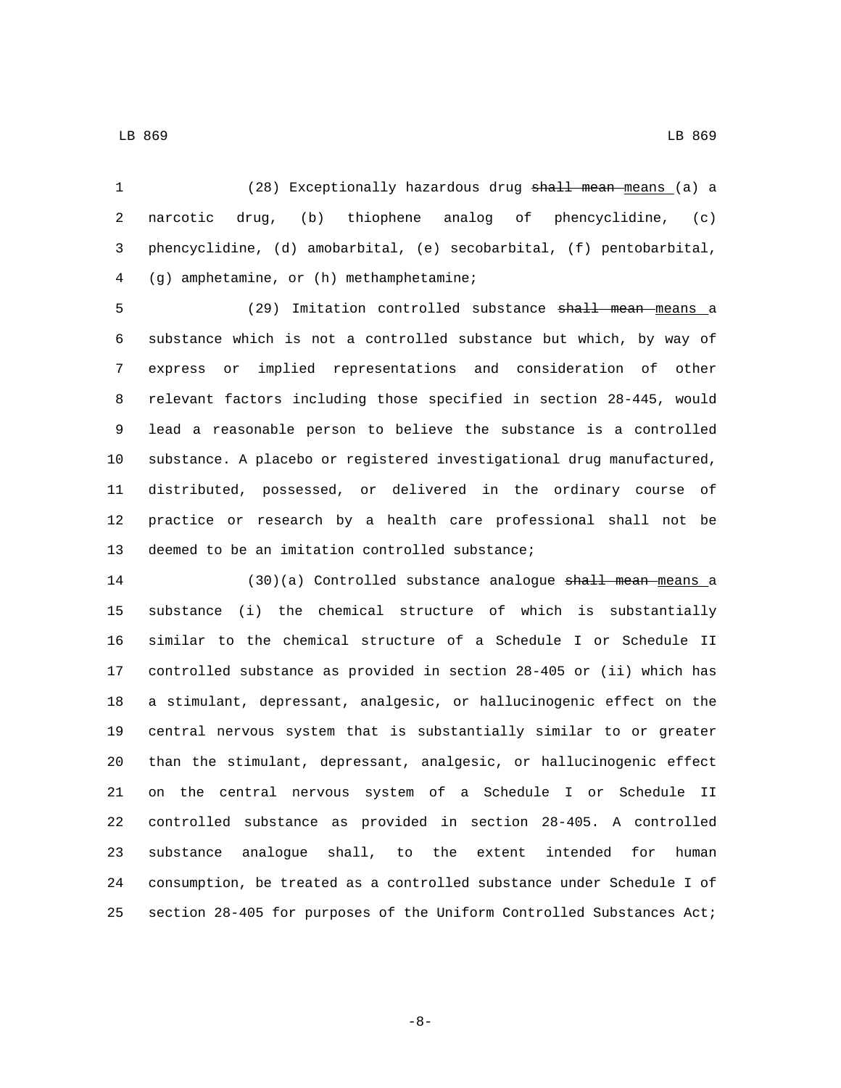LB 869 LB 869

(28) Exceptionally hazardous drug shall mean means (a) a

 narcotic drug, (b) thiophene analog of phencyclidine, (c) phencyclidine, (d) amobarbital, (e) secobarbital, (f) pentobarbital, (g) amphetamine, or (h) methamphetamine;4

5 (29) Imitation controlled substance <del>shall mean means</del> a substance which is not a controlled substance but which, by way of express or implied representations and consideration of other relevant factors including those specified in section 28-445, would lead a reasonable person to believe the substance is a controlled substance. A placebo or registered investigational drug manufactured, distributed, possessed, or delivered in the ordinary course of practice or research by a health care professional shall not be 13 deemed to be an imitation controlled substance;

14 (30)(a) Controlled substance analogue shall mean means a substance (i) the chemical structure of which is substantially similar to the chemical structure of a Schedule I or Schedule II controlled substance as provided in section 28-405 or (ii) which has a stimulant, depressant, analgesic, or hallucinogenic effect on the central nervous system that is substantially similar to or greater than the stimulant, depressant, analgesic, or hallucinogenic effect on the central nervous system of a Schedule I or Schedule II controlled substance as provided in section 28-405. A controlled substance analogue shall, to the extent intended for human consumption, be treated as a controlled substance under Schedule I of section 28-405 for purposes of the Uniform Controlled Substances Act;

-8-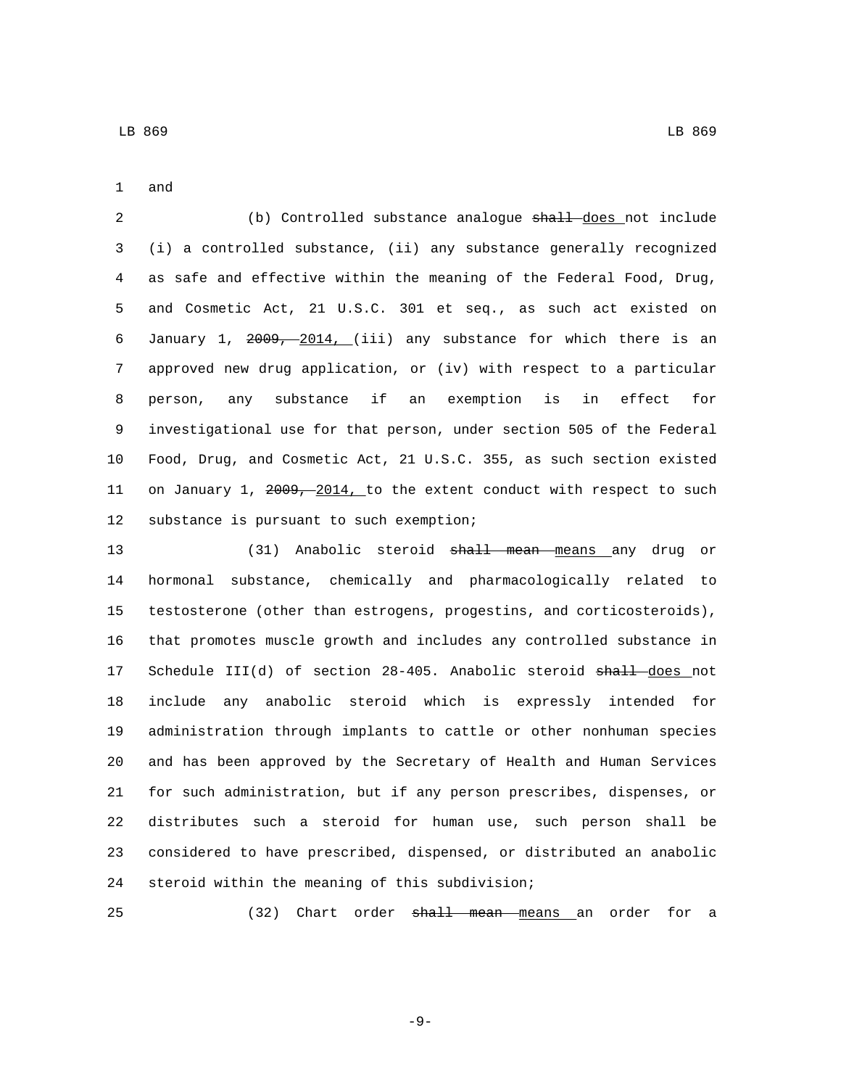1 and

2 (b) Controlled substance analogue shall does not include (i) a controlled substance, (ii) any substance generally recognized as safe and effective within the meaning of the Federal Food, Drug, and Cosmetic Act, 21 U.S.C. 301 et seq., as such act existed on January 1, 2009, 2014, (iii) any substance for which there is an approved new drug application, or (iv) with respect to a particular person, any substance if an exemption is in effect for investigational use for that person, under section 505 of the Federal Food, Drug, and Cosmetic Act, 21 U.S.C. 355, as such section existed 11 on January 1, 2009, 2014, to the extent conduct with respect to such 12 substance is pursuant to such exemption;

13 (31) Anabolic steroid shall mean means any drug or hormonal substance, chemically and pharmacologically related to testosterone (other than estrogens, progestins, and corticosteroids), that promotes muscle growth and includes any controlled substance in 17 Schedule III(d) of section 28-405. Anabolic steroid shall does not include any anabolic steroid which is expressly intended for administration through implants to cattle or other nonhuman species and has been approved by the Secretary of Health and Human Services for such administration, but if any person prescribes, dispenses, or distributes such a steroid for human use, such person shall be considered to have prescribed, dispensed, or distributed an anabolic 24 steroid within the meaning of this subdivision;

25 (32) Chart order shall mean means an order for a

-9-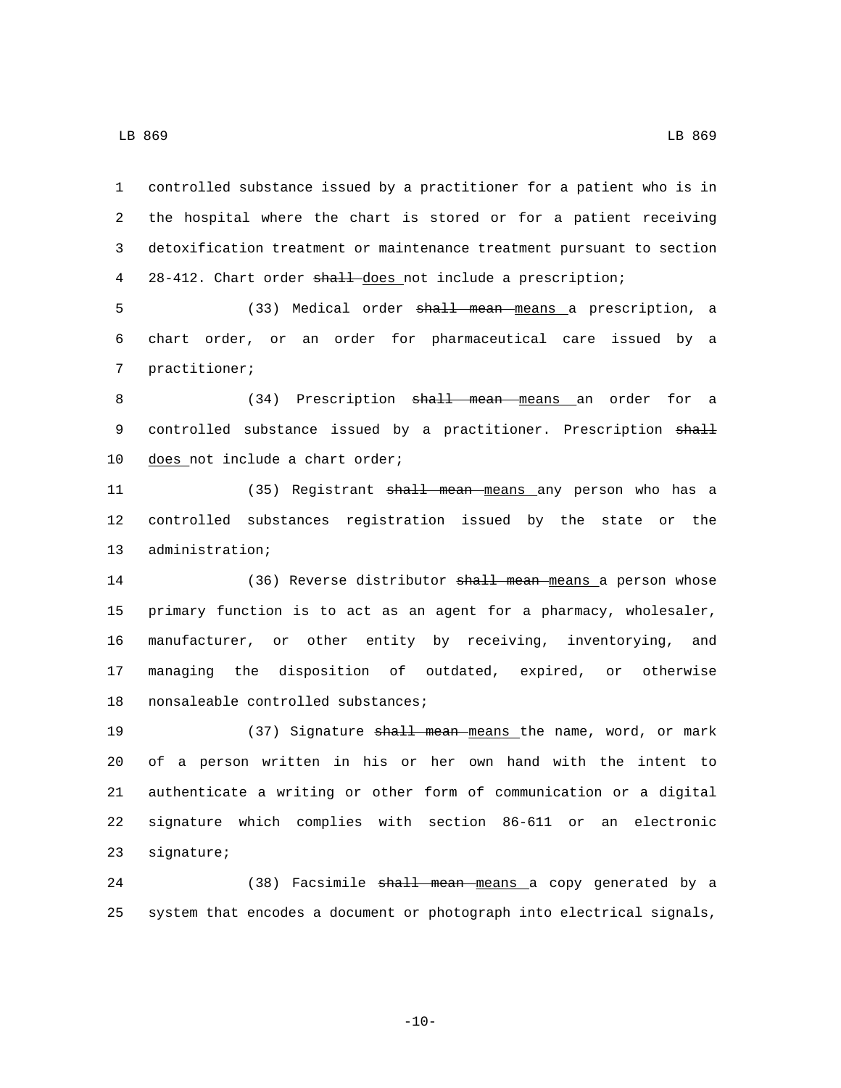LB 869 LB 869

1 controlled substance issued by a practitioner for a patient who is in 2 the hospital where the chart is stored or for a patient receiving 3 detoxification treatment or maintenance treatment pursuant to section 4 28-412. Chart order shall does not include a prescription; 5 (33) Medical order shall mean means a prescription, a 6 chart order, or an order for pharmaceutical care issued by a 7 practitioner; 8 (34) Prescription <del>shall mean means</del> an order for a 9 controlled substance issued by a practitioner. Prescription shall 10 does not include a chart order; 11 (35) Registrant shall mean means any person who has a 12 controlled substances registration issued by the state or the 13 administration; 14 (36) Reverse distributor shall mean means a person whose 15 primary function is to act as an agent for a pharmacy, wholesaler, 16 manufacturer, or other entity by receiving, inventorying, and 17 managing the disposition of outdated, expired, or otherwise 18 nonsaleable controlled substances; 19 (37) Signature shall mean means the name, word, or mark 20 of a person written in his or her own hand with the intent to 21 authenticate a writing or other form of communication or a digital 22 signature which complies with section 86-611 or an electronic 23 signature;

24 (38) Facsimile shall mean means a copy generated by a 25 system that encodes a document or photograph into electrical signals,

 $-10-$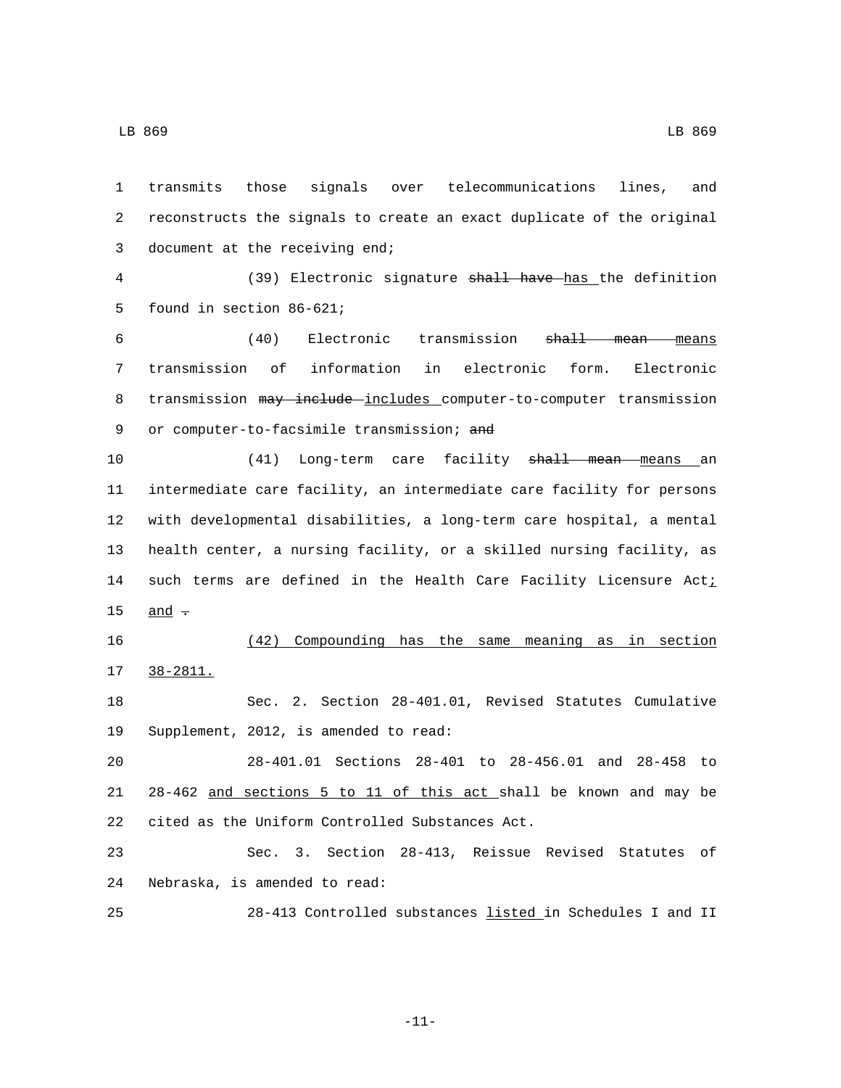1 transmits those signals over telecommunications lines, and 2 reconstructs the signals to create an exact duplicate of the original 3 document at the receiving end; 4 (39) Electronic signature shall have has the definition 5 found in section 86-621; 6 (40) Electronic transmission shall mean means 7 transmission of information in electronic form. Electronic 8 transmission may include includes computer-to-computer transmission 9 or computer-to-facsimile transmission; and

10 (41) Long-term care facility shall mean means an 11 intermediate care facility, an intermediate care facility for persons 12 with developmental disabilities, a long-term care hospital, a mental 13 health center, a nursing facility, or a skilled nursing facility, as 14 such terms are defined in the Health Care Facility Licensure Acti 15  $and -$ 

16 (42) Compounding has the same meaning as in section 38-2811.17 18 Sec. 2. Section 28-401.01, Revised Statutes Cumulative

19 Supplement, 2012, is amended to read:

20 28-401.01 Sections 28-401 to 28-456.01 and 28-458 to 21 28-462 and sections 5 to 11 of this act shall be known and may be 22 cited as the Uniform Controlled Substances Act.

23 Sec. 3. Section 28-413, Reissue Revised Statutes of 24 Nebraska, is amended to read:

25 28-413 Controlled substances listed in Schedules I and II

-11-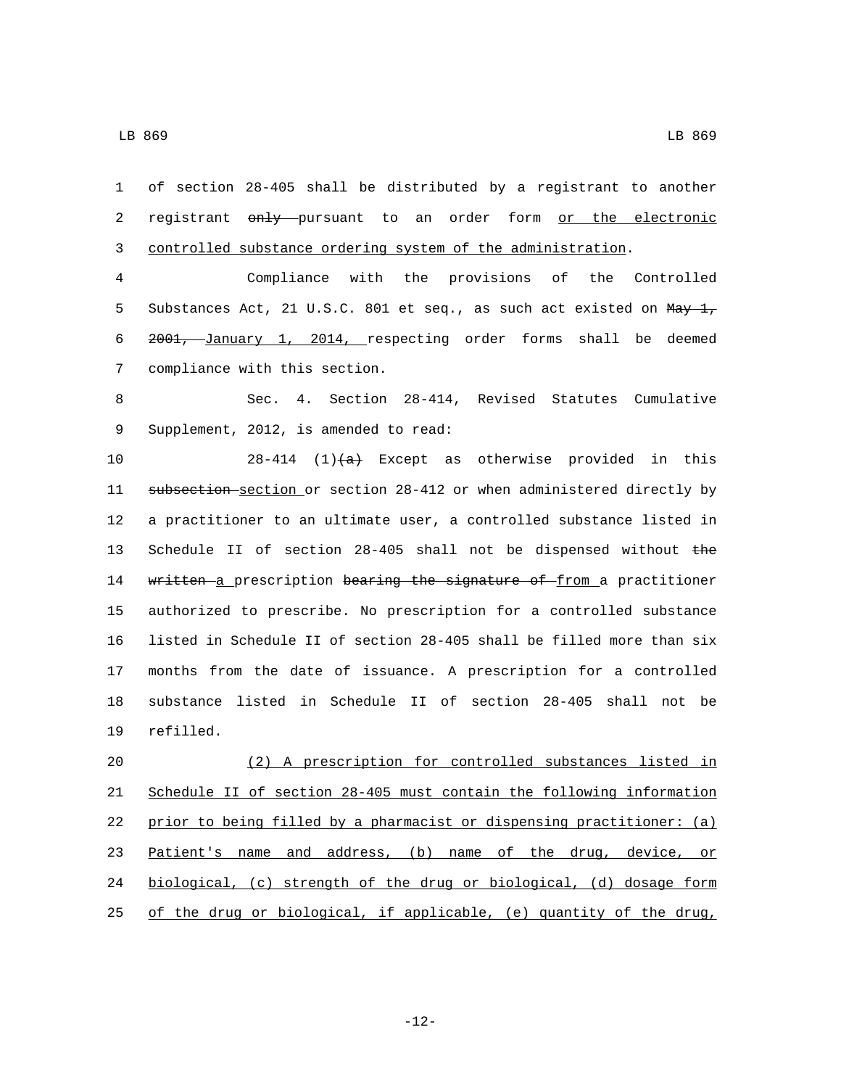of section 28-405 shall be distributed by a registrant to another 2 registrant only pursuant to an order form or the electronic controlled substance ordering system of the administration. Compliance with the provisions of the Controlled 5 Substances Act, 21 U.S.C. 801 et seq., as such act existed on May 1, 2001, January 1, 2014, respecting order forms shall be deemed 7 compliance with this section. Sec. 4. Section 28-414, Revised Statutes Cumulative 9 Supplement, 2012, is amended to read: 10 28-414 (1) $\left(\frac{a}{b}\right)$  Except as otherwise provided in this subsection section or section 28-412 or when administered directly by a practitioner to an ultimate user, a controlled substance listed in 13 Schedule II of section 28-405 shall not be dispensed without the 14 written a prescription bearing the signature of from a practitioner authorized to prescribe. No prescription for a controlled substance listed in Schedule II of section 28-405 shall be filled more than six months from the date of issuance. A prescription for a controlled substance listed in Schedule II of section 28-405 shall not be 19 refilled. (2) A prescription for controlled substances listed in Schedule II of section 28-405 must contain the following information prior to being filled by a pharmacist or dispensing practitioner: (a) Patient's name and address, (b) name of the drug, device, or biological, (c) strength of the drug or biological, (d) dosage form

25 of the drug or biological, if applicable, (e) quantity of the drug,

-12-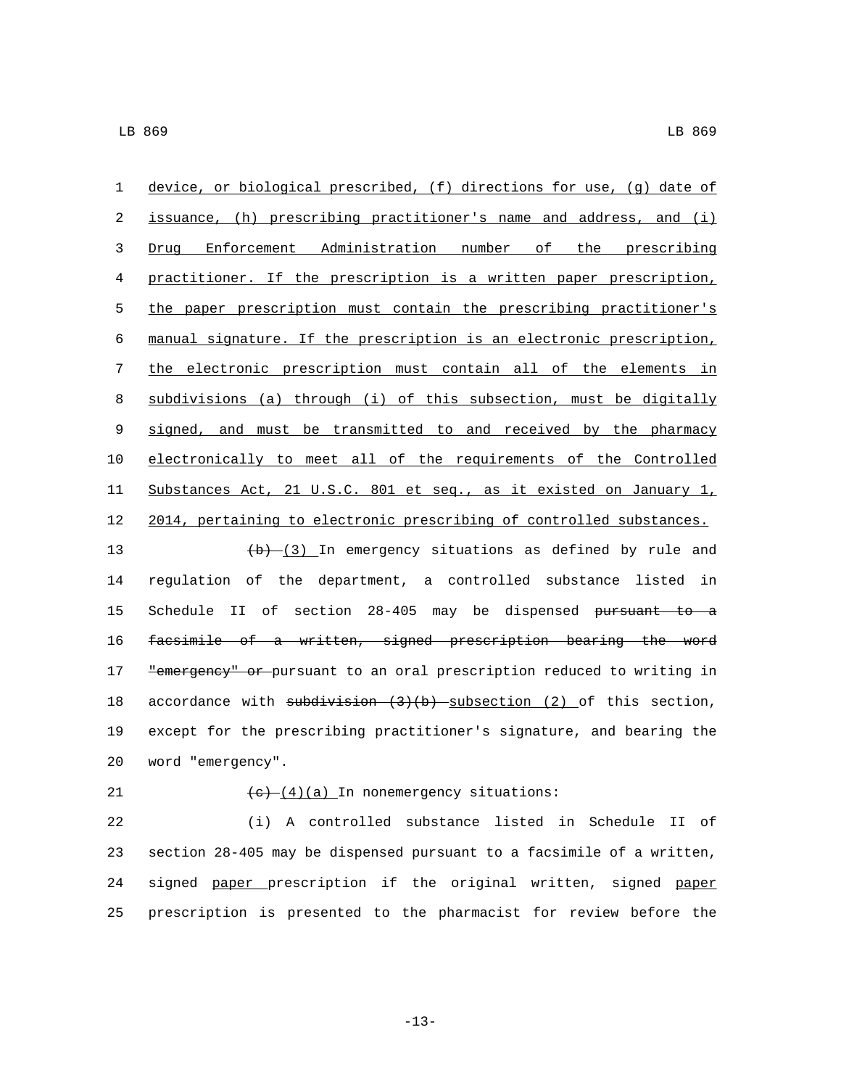device, or biological prescribed, (f) directions for use, (g) date of issuance, (h) prescribing practitioner's name and address, and (i) Drug Enforcement Administration number of the prescribing practitioner. If the prescription is a written paper prescription, the paper prescription must contain the prescribing practitioner's manual signature. If the prescription is an electronic prescription, the electronic prescription must contain all of the elements in subdivisions (a) through (i) of this subsection, must be digitally 9 signed, and must be transmitted to and received by the pharmacy electronically to meet all of the requirements of the Controlled Substances Act, 21 U.S.C. 801 et seq., as it existed on January 1, 2014, pertaining to electronic prescribing of controlled substances.  $(b)$   $(3)$  In emergency situations as defined by rule and regulation of the department, a controlled substance listed in Schedule II of section 28-405 may be dispensed pursuant to a facsimile of a written, signed prescription bearing the word 17 "emergency" or pursuant to an oral prescription reduced to writing in 18 accordance with subdivision  $(3)(b)$  subsection  $(2)$  of this section, except for the prescribing practitioner's signature, and bearing the

word "emergency".20

## 21  $(e)$   $(e)$   $(4)(a)$  In nonemergency situations:

 (i) A controlled substance listed in Schedule II of section 28-405 may be dispensed pursuant to a facsimile of a written, 24 signed paper prescription if the original written, signed paper prescription is presented to the pharmacist for review before the

-13-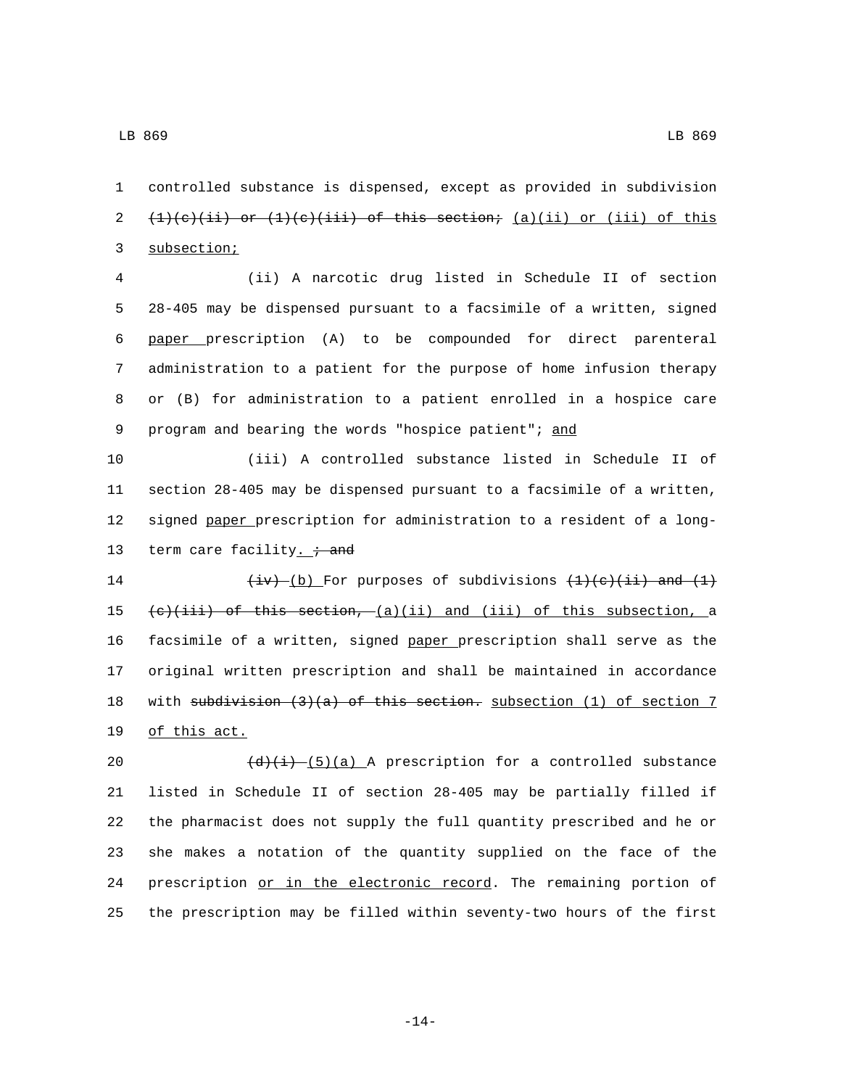1 controlled substance is dispensed, except as provided in subdivision 2  $(1)(c)(ii)$  or  $(1)(c)(iii)$  of this section;  $(a)(ii)$  or  $(iii)$  of this 3 subsection;

 (ii) A narcotic drug listed in Schedule II of section 28-405 may be dispensed pursuant to a facsimile of a written, signed paper prescription (A) to be compounded for direct parenteral administration to a patient for the purpose of home infusion therapy or (B) for administration to a patient enrolled in a hospice care 9 program and bearing the words "hospice patient"; and

 (iii) A controlled substance listed in Schedule II of section 28-405 may be dispensed pursuant to a facsimile of a written, signed paper prescription for administration to a resident of a long-13 term care facility.  $\dot{t}$  and

 $\frac{div}{iv}$  (b) For purposes of subdivisions  $\frac{1}{(i)}$  and  $\frac{1}{i}$  $(e)(iii)$  of this section,  $(a)(ii)$  and (iii) of this subsection, a facsimile of a written, signed paper prescription shall serve as the original written prescription and shall be maintained in accordance 18 with subdivision (3)(a) of this section. subsection (1) of section 7 19 of this act.

 $\left(\frac{d}{i} \right) \frac{5}{a}$  A prescription for a controlled substance listed in Schedule II of section 28-405 may be partially filled if the pharmacist does not supply the full quantity prescribed and he or she makes a notation of the quantity supplied on the face of the 24 prescription or in the electronic record. The remaining portion of the prescription may be filled within seventy-two hours of the first

-14-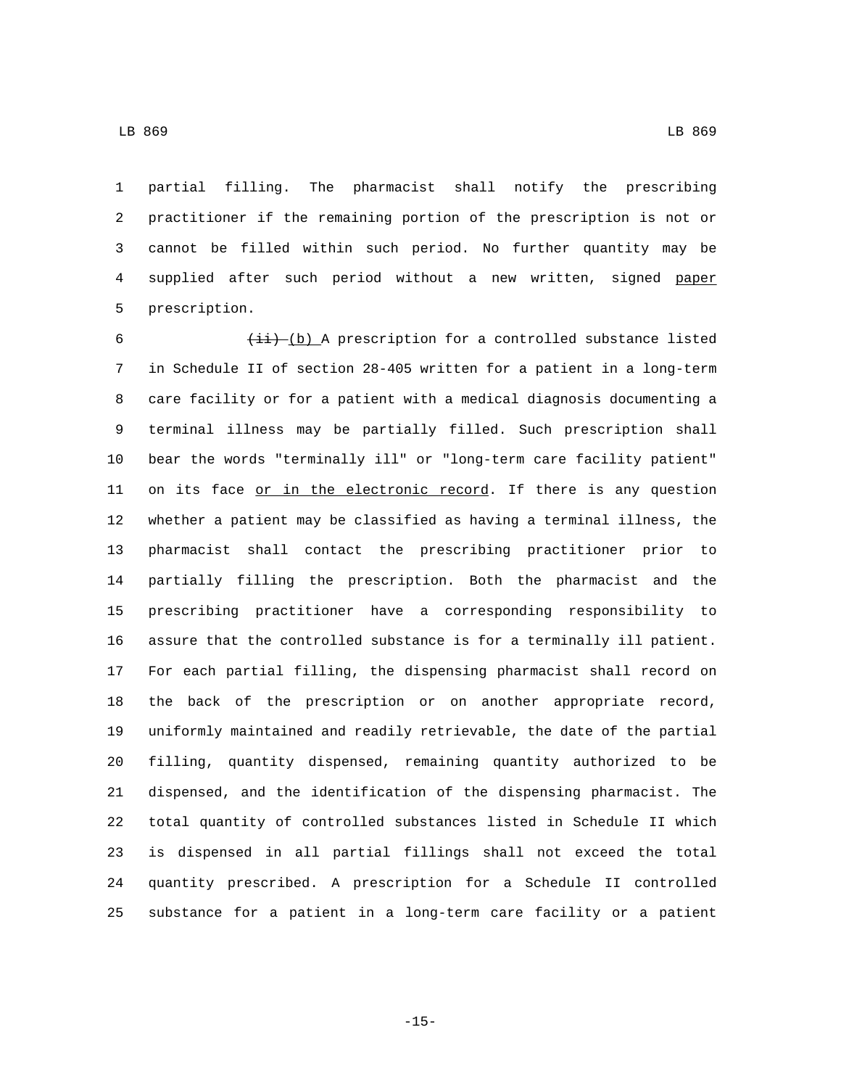partial filling. The pharmacist shall notify the prescribing practitioner if the remaining portion of the prescription is not or cannot be filled within such period. No further quantity may be supplied after such period without a new written, signed paper 5 prescription.

 $(i\textbf{i})$  (b) A prescription for a controlled substance listed in Schedule II of section 28-405 written for a patient in a long-term care facility or for a patient with a medical diagnosis documenting a terminal illness may be partially filled. Such prescription shall bear the words "terminally ill" or "long-term care facility patient" 11 on its face or in the electronic record. If there is any question whether a patient may be classified as having a terminal illness, the pharmacist shall contact the prescribing practitioner prior to partially filling the prescription. Both the pharmacist and the prescribing practitioner have a corresponding responsibility to assure that the controlled substance is for a terminally ill patient. For each partial filling, the dispensing pharmacist shall record on the back of the prescription or on another appropriate record, uniformly maintained and readily retrievable, the date of the partial filling, quantity dispensed, remaining quantity authorized to be dispensed, and the identification of the dispensing pharmacist. The total quantity of controlled substances listed in Schedule II which is dispensed in all partial fillings shall not exceed the total quantity prescribed. A prescription for a Schedule II controlled substance for a patient in a long-term care facility or a patient

-15-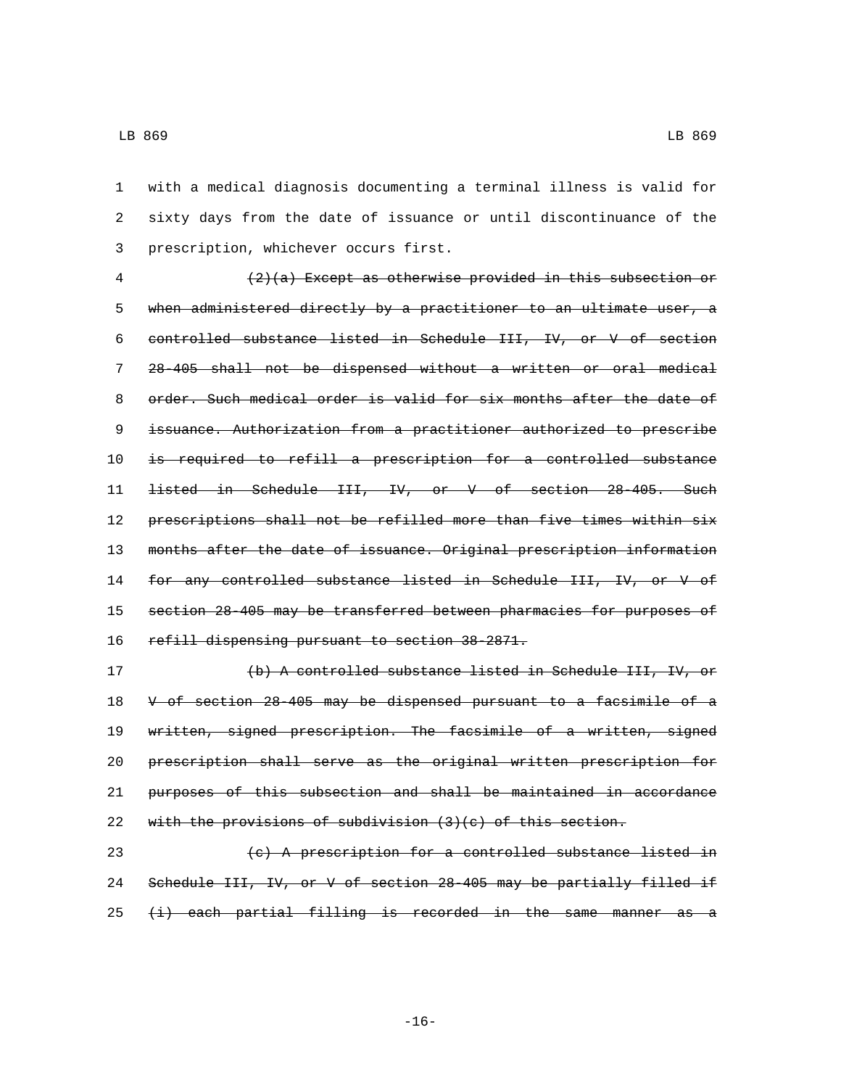with a medical diagnosis documenting a terminal illness is valid for sixty days from the date of issuance or until discontinuance of the 3 prescription, whichever occurs first.

 (2)(a) Except as otherwise provided in this subsection or when administered directly by a practitioner to an ultimate user, a controlled substance listed in Schedule III, IV, or V of section 28-405 shall not be dispensed without a written or oral medical order. Such medical order is valid for six months after the date of issuance. Authorization from a practitioner authorized to prescribe is required to refill a prescription for a controlled substance listed in Schedule III, IV, or V of section 28-405. Such prescriptions shall not be refilled more than five times within six months after the date of issuance. Original prescription information 14 for any controlled substance listed in Schedule III, IV, or V of section 28-405 may be transferred between pharmacies for purposes of 16 refill dispensing pursuant to section 38-2871.

 (b) A controlled substance listed in Schedule III, IV, or V of section 28-405 may be dispensed pursuant to a facsimile of a 19 written, signed prescription. The facsimile of a written, signed prescription shall serve as the original written prescription for purposes of this subsection and shall be maintained in accordance 22 with the provisions of subdivision  $(3)(c)$  of this section.

 (c) A prescription for a controlled substance listed in Schedule III, IV, or V of section 28-405 may be partially filled if  $(i)$  each partial filling is recorded in the same manner as a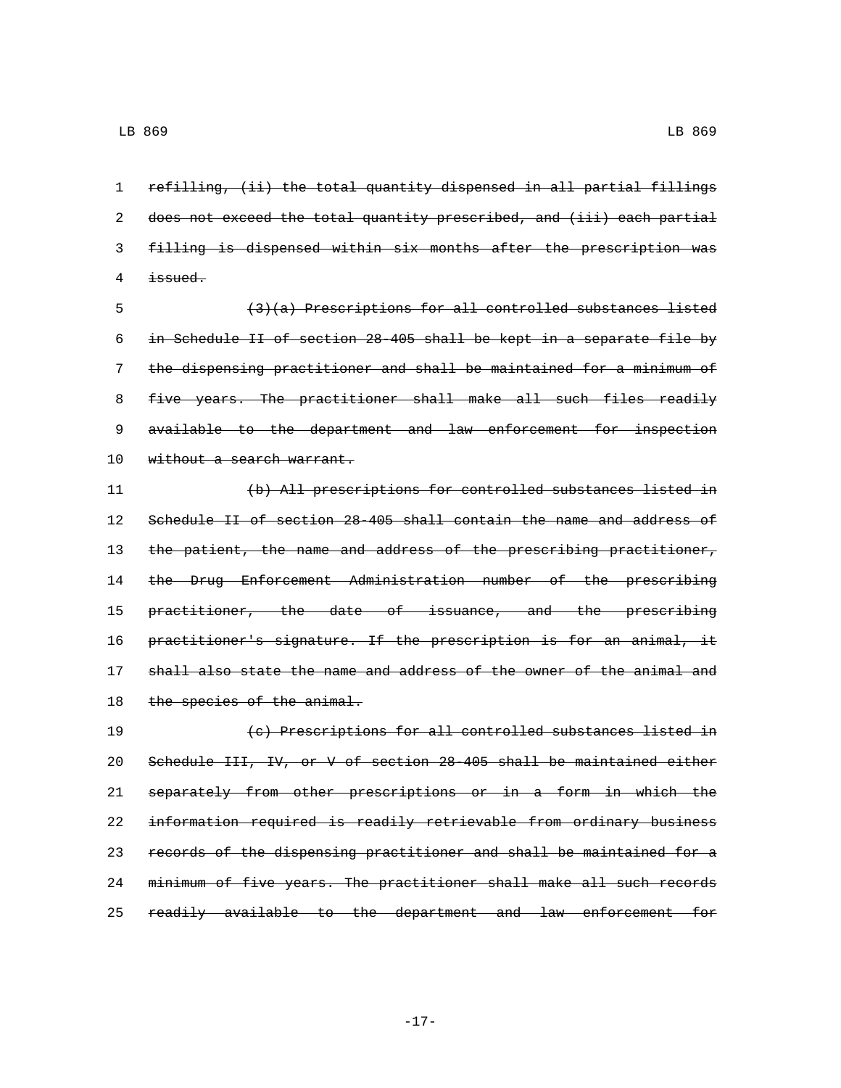refilling, (ii) the total quantity dispensed in all partial fillings does not exceed the total quantity prescribed, and (iii) each partial filling is dispensed within six months after the prescription was  $4 \quad \text{is sued.}$ 

 (3)(a) Prescriptions for all controlled substances listed in Schedule II of section 28-405 shall be kept in a separate file by the dispensing practitioner and shall be maintained for a minimum of 8 five years. The practitioner shall make all such files readily 9 available to the department and law enforcement for inspection 10 without a search warrant.

 (b) All prescriptions for controlled substances listed in Schedule II of section 28-405 shall contain the name and address of 13 the patient, the name and address of the prescribing practitioner, the Drug Enforcement Administration number of the prescribing 15 practitioner, the date of issuance, and the prescribing 16 practitioner's signature. If the prescription is for an animal, it shall also state the name and address of the owner of the animal and 18 the species of the animal.

 (c) Prescriptions for all controlled substances listed in Schedule III, IV, or V of section 28-405 shall be maintained either separately from other prescriptions or in a form in which the information required is readily retrievable from ordinary business records of the dispensing practitioner and shall be maintained for a minimum of five years. The practitioner shall make all such records readily available to the department and law enforcement for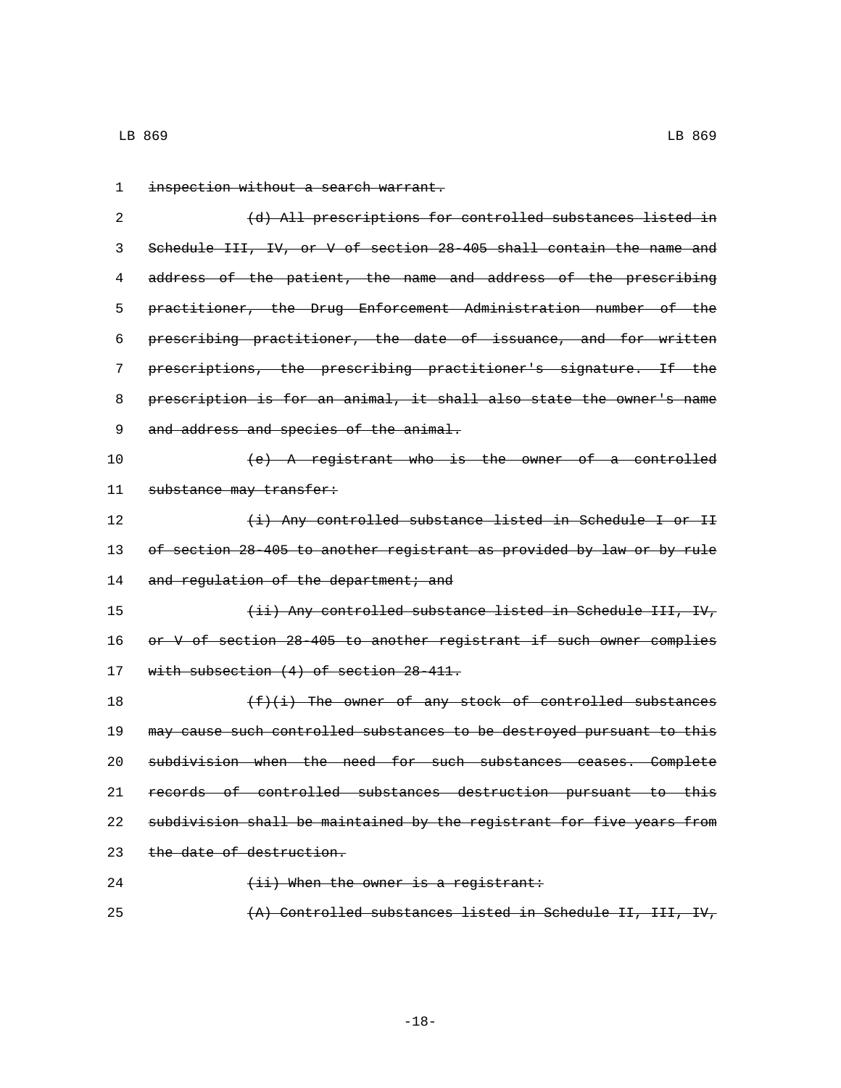| 1  | inspection without a search warrant.                                  |
|----|-----------------------------------------------------------------------|
| 2  | (d) All prescriptions for controlled substances listed in             |
| 3  | Schedule III, IV, or V of section 28-405 shall contain the name and   |
| 4  | address of the patient, the name and address of the prescribing       |
| 5  | practitioner, the Drug Enforcement Administration number of the       |
| 6  | prescribing practitioner, the date of issuance, and for written       |
| 7  | prescriptions, the prescribing practitioner's signature. If the       |
| 8  | prescription is for an animal, it shall also state the owner's name   |
| 9  | and address and species of the animal.                                |
| 10 | (e) A registrant who is the owner of a controlled                     |
| 11 | substance may transfer:                                               |
| 12 | (i) Any controlled substance listed in Schedule I or II               |
| 13 | of section 28-405 to another registrant as provided by law or by rule |
| 14 | and regulation of the department; and                                 |
| 15 | (ii) Any controlled substance listed in Schedule III, IV,             |
| 16 | or V of section 28-405 to another registrant if such owner complies   |
| 17 | with subsection $(4)$ of section 28-411.                              |
| 18 | $(f)(i)$ The owner of any stock of controlled substances              |
| 19 | may cause such controlled substances to be destroyed pursuant to this |
| 20 | subdivision when the need for such substances ceases. Complete        |
| 21 | records of controlled substances destruction pursuant to this         |
| 22 | subdivision shall be maintained by the registrant for five years from |
| 23 | the date of destruction.                                              |
| 24 | $(i)$ When the owner is a registrant:                                 |

(A) Controlled substances listed in Schedule II, III, IV,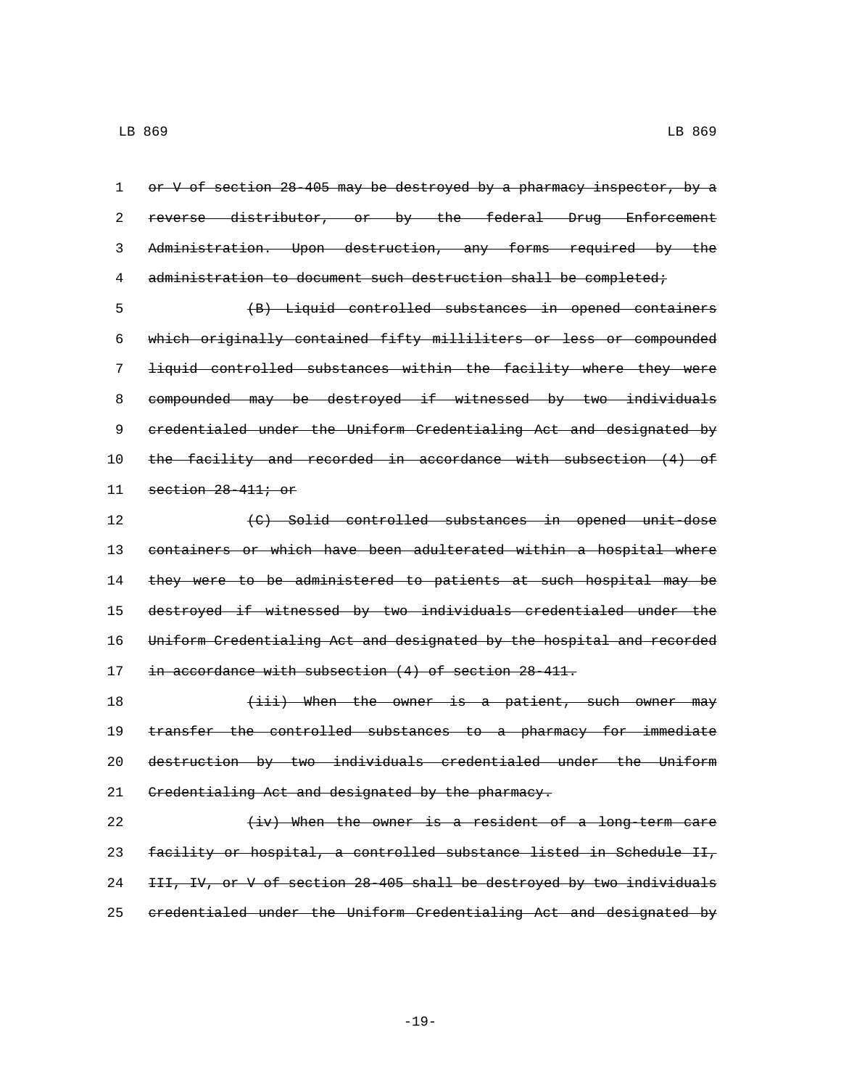1 or V of section 28-405 may be destroyed by a pharmacy inspector, by a reverse distributor, or by the federal Drug Enforcement Administration. Upon destruction, any forms required by the administration to document such destruction shall be completed;

 (B) Liquid controlled substances in opened containers which originally contained fifty milliliters or less or compounded liquid controlled substances within the facility where they were compounded may be destroyed if witnessed by two individuals credentialed under the Uniform Credentialing Act and designated by the facility and recorded in accordance with subsection (4) of 11 section 28-411; or

 (C) Solid controlled substances in opened unit-dose 13 containers or which have been adulterated within a hospital where they were to be administered to patients at such hospital may be destroyed if witnessed by two individuals credentialed under the Uniform Credentialing Act and designated by the hospital and recorded in accordance with subsection (4) of section 28-411.

18 (iii) When the owner is a patient, such owner may 19 transfer the controlled substances to a pharmacy for immediate destruction by two individuals credentialed under the Uniform 21 Credentialing Act and designated by the pharmacy.

 $\{iv\}$  When the owner is a resident of a long-term care facility or hospital, a controlled substance listed in Schedule II, III, IV, or V of section 28-405 shall be destroyed by two individuals credentialed under the Uniform Credentialing Act and designated by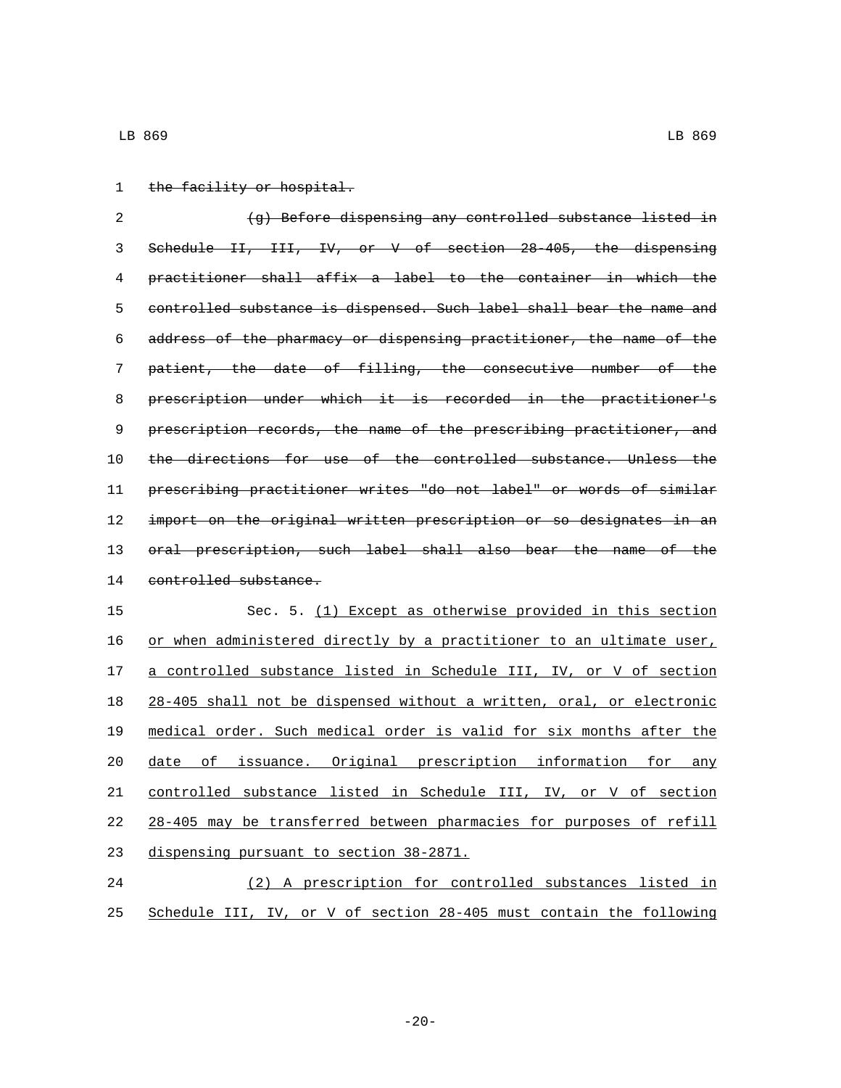- LB 869 LB 869
- 1 the facility or hospital.

2 (g) Before dispensing any controlled substance listed in Schedule II, III, IV, or V of section 28-405, the dispensing practitioner shall affix a label to the container in which the controlled substance is dispensed. Such label shall bear the name and address of the pharmacy or dispensing practitioner, the name of the patient, the date of filling, the consecutive number of the prescription under which it is recorded in the practitioner's 9 prescription records, the name of the prescribing practitioner, and the directions for use of the controlled substance. Unless the prescribing practitioner writes "do not label" or words of similar 12 import on the original written prescription or so designates in an 13 oral prescription, such label shall also bear the name of the 14 controlled substance.

 Sec. 5. (1) Except as otherwise provided in this section 16 or when administered directly by a practitioner to an ultimate user, 17 a controlled substance listed in Schedule III, IV, or V of section 28-405 shall not be dispensed without a written, oral, or electronic medical order. Such medical order is valid for six months after the date of issuance. Original prescription information for any controlled substance listed in Schedule III, IV, or V of section 28-405 may be transferred between pharmacies for purposes of refill 23 dispensing pursuant to section 38-2871. (2) A prescription for controlled substances listed in

25 Schedule III, IV, or V of section 28-405 must contain the following

 $-20-$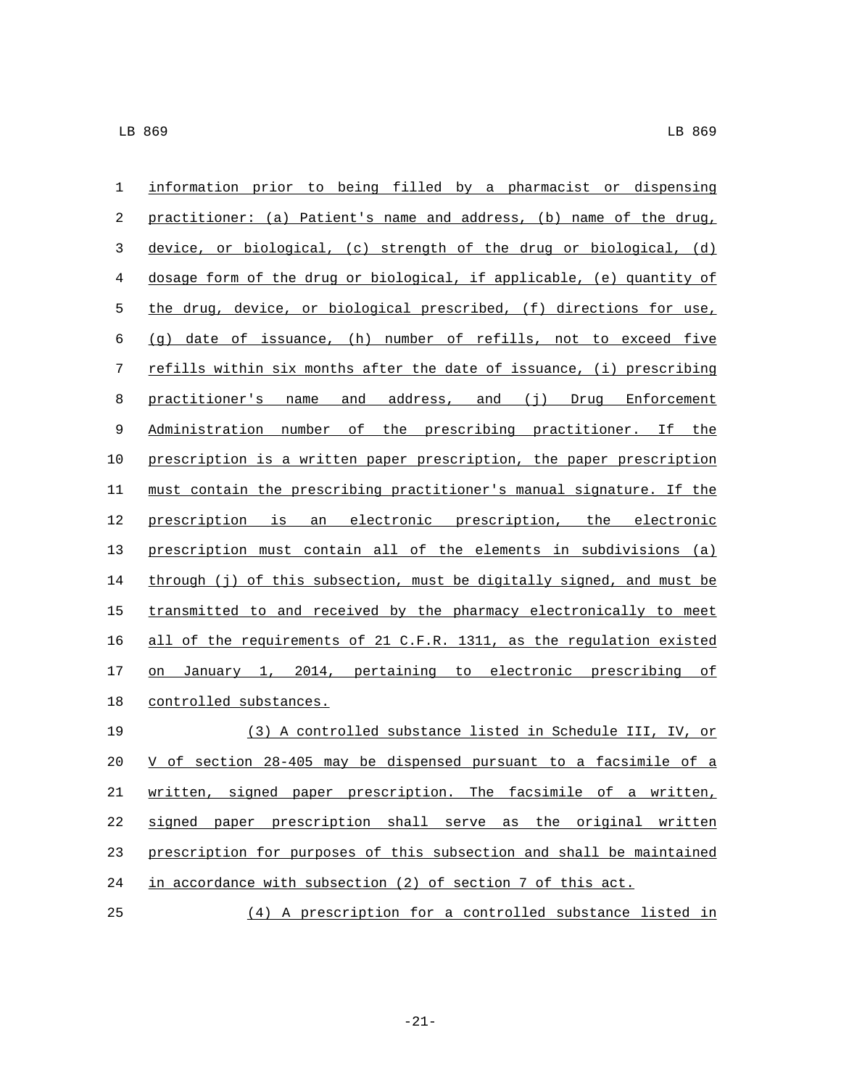| $\mathbf{1}$ | information prior to being filled by a pharmacist or dispensing       |
|--------------|-----------------------------------------------------------------------|
| 2            | practitioner: (a) Patient's name and address, (b) name of the drug,   |
| 3            | device, or biological, (c) strength of the drug or biological, (d)    |
| 4            | dosage form of the drug or biological, if applicable, (e) quantity of |
| 5            | the drug, device, or biological prescribed, (f) directions for use,   |
| 6            | (g) date of issuance, (h) number of refills, not to exceed five       |
| 7            | refills within six months after the date of issuance, (i) prescribing |
| 8            | practitioner's name and address, and (j) Drug Enforcement             |
| 9            | Administration number of the prescribing practitioner. If the         |
| 10           | prescription is a written paper prescription, the paper prescription  |
| 11           | must contain the prescribing practitioner's manual signature. If the  |
| 12           | prescription is an electronic prescription, the electronic            |
| 13           | prescription must contain all of the elements in subdivisions (a)     |
| 14           | through (j) of this subsection, must be digitally signed, and must be |
| 15           | transmitted to and received by the pharmacy electronically to meet    |
| 16           | all of the requirements of 21 C.F.R. 1311, as the regulation existed  |
| 17           | January 1, 2014, pertaining to electronic prescribing of<br>on        |
| 18           | controlled substances.                                                |
| 19           | (3) A controlled substance listed in Schedule III, IV, or             |
| 20           | V of section 28-405 may be dispensed pursuant to a facsimile of a     |
| $21\,$       | written, signed paper prescription. The facsimile of a written,       |
| 22           | signed paper prescription shall serve as the original written         |
| 23           | prescription for purposes of this subsection and shall be maintained  |
| 24           | in accordance with subsection (2) of section 7 of this act.           |

(4) A prescription for a controlled substance listed in

-21-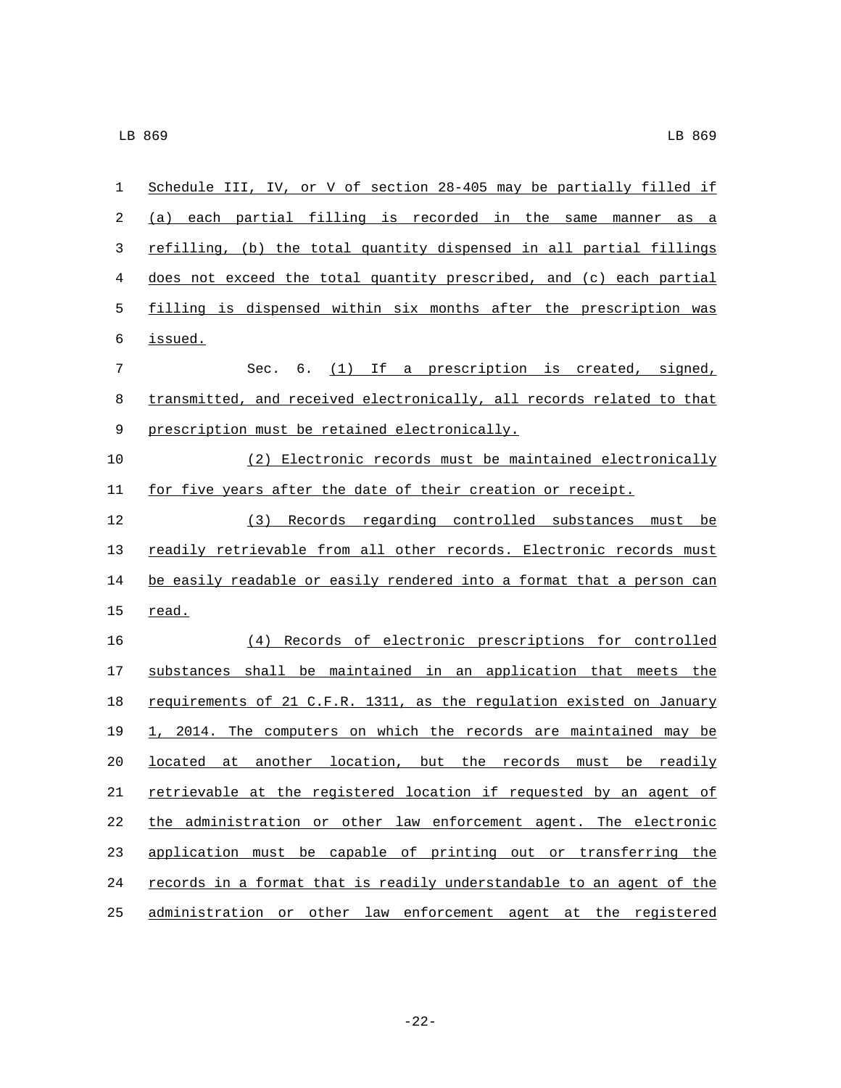| 1  | Schedule III, IV, or V of section 28-405 may be partially filled if   |
|----|-----------------------------------------------------------------------|
| 2  | (a) each partial filling is recorded in the same manner as a          |
| 3  | refilling, (b) the total quantity dispensed in all partial fillings   |
| 4  | does not exceed the total quantity prescribed, and (c) each partial   |
| 5  | filling is dispensed within six months after the prescription was     |
| 6  | issued.                                                               |
| 7  | Sec. 6. (1) If a prescription is created, signed,                     |
| 8  | transmitted, and received electronically, all records related to that |
| 9  | prescription must be retained electronically.                         |
| 10 | (2) Electronic records must be maintained electronically              |
| 11 | for five years after the date of their creation or receipt.           |
| 12 | (3) Records regarding controlled substances must be                   |
| 13 | readily retrievable from all other records. Electronic records must   |
| 14 | be easily readable or easily rendered into a format that a person can |
| 15 | read.                                                                 |
| 16 | (4) Records of electronic prescriptions for controlled                |
| 17 | substances shall be maintained in an application that meets the       |
| 18 | requirements of 21 C.F.R. 1311, as the regulation existed on January  |
| 19 | 1, 2014. The computers on which the records are maintained may be     |
| 20 | located at another location, but the records must be readily          |
| 21 | retrievable at the registered location if requested by an agent of    |
| 22 | the administration or other law enforcement agent. The electronic     |
| 23 | application must be capable of printing out or transferring the       |
| 24 | records in a format that is readily understandable to an agent of the |
| 25 | administration or other law enforcement agent at the registered       |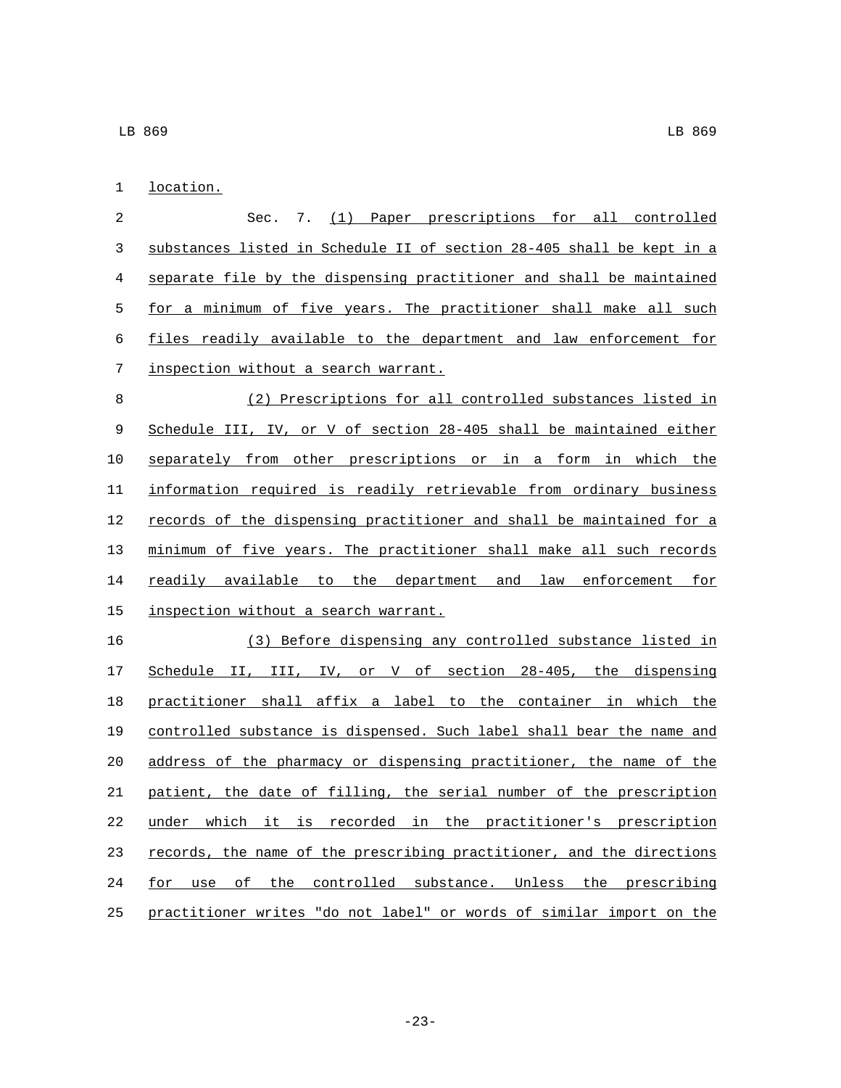1 location.

 Sec. 7. (1) Paper prescriptions for all controlled substances listed in Schedule II of section 28-405 shall be kept in a separate file by the dispensing practitioner and shall be maintained for a minimum of five years. The practitioner shall make all such files readily available to the department and law enforcement for 7 inspection without a search warrant. (2) Prescriptions for all controlled substances listed in Schedule III, IV, or V of section 28-405 shall be maintained either separately from other prescriptions or in a form in which the information required is readily retrievable from ordinary business 12 records of the dispensing practitioner and shall be maintained for a minimum of five years. The practitioner shall make all such records 14 readily available to the department and law enforcement for 15 inspection without a search warrant.

 (3) Before dispensing any controlled substance listed in Schedule II, III, IV, or V of section 28-405, the dispensing practitioner shall affix a label to the container in which the controlled substance is dispensed. Such label shall bear the name and address of the pharmacy or dispensing practitioner, the name of the patient, the date of filling, the serial number of the prescription under which it is recorded in the practitioner's prescription records, the name of the prescribing practitioner, and the directions for use of the controlled substance. Unless the prescribing practitioner writes "do not label" or words of similar import on the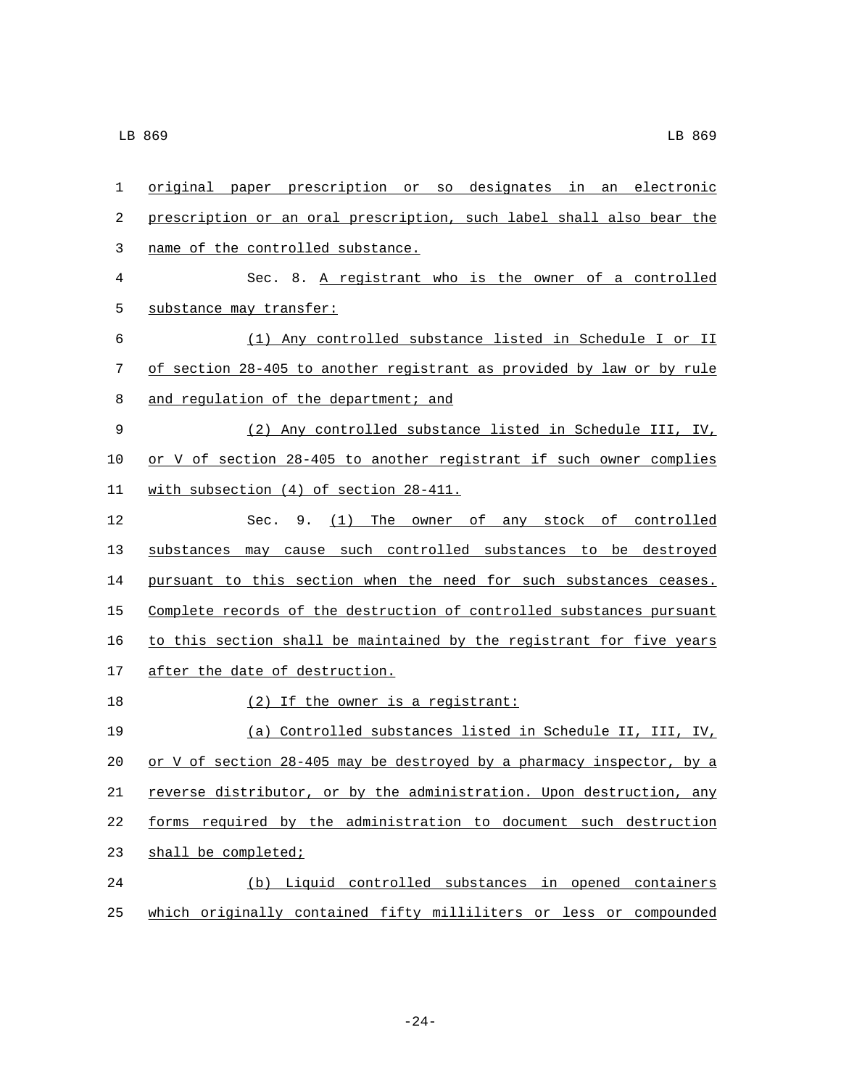| 1  | original paper prescription or so designates in an electronic         |
|----|-----------------------------------------------------------------------|
| 2  | prescription or an oral prescription, such label shall also bear the  |
| 3  | name of the controlled substance.                                     |
| 4  | Sec. 8. A registrant who is the owner of a controlled                 |
| 5  | substance may transfer:                                               |
| 6  | (1) Any controlled substance listed in Schedule I or II               |
| 7  | of section 28-405 to another registrant as provided by law or by rule |
| 8  | and regulation of the department; and                                 |
| 9  | (2) Any controlled substance listed in Schedule III, IV,              |
| 10 | or V of section 28-405 to another registrant if such owner complies   |
| 11 | with subsection (4) of section 28-411.                                |
| 12 | Sec. 9. (1) The owner of any stock of controlled                      |
| 13 | substances may cause such controlled substances to be destroyed       |
| 14 | pursuant to this section when the need for such substances ceases.    |
| 15 | Complete records of the destruction of controlled substances pursuant |
| 16 | to this section shall be maintained by the registrant for five years  |
| 17 | after the date of destruction.                                        |
| 18 | (2) If the owner is a registrant:                                     |
| 19 | (a) Controlled substances listed in Schedule II, III, IV,             |
| 20 | or V of section 28-405 may be destroyed by a pharmacy inspector, by a |
| 21 | reverse distributor, or by the administration. Upon destruction, any  |
| 22 | forms required by the administration to document such destruction     |
| 23 | shall be completed;                                                   |
| 24 | (b) Liquid controlled substances in opened containers                 |
| 25 | which originally contained fifty milliliters or less or compounded    |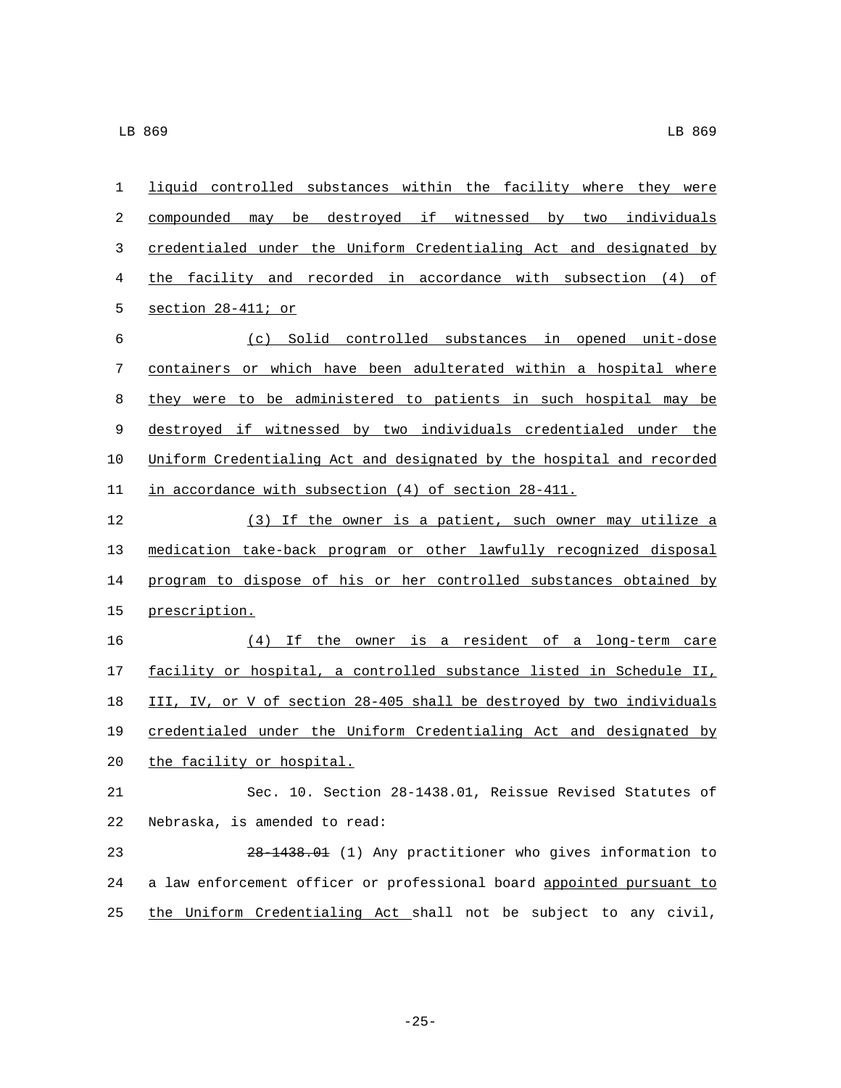| 1  | liquid controlled substances within the facility where they were      |
|----|-----------------------------------------------------------------------|
| 2  | compounded may be destroyed if witnessed by two individuals           |
| 3  | credentialed under the Uniform Credentialing Act and designated by    |
| 4  | the facility and recorded in accordance with subsection (4) of        |
| 5  | section 28-411; or                                                    |
| 6  | (c) Solid controlled substances in opened unit-dose                   |
| 7  | containers or which have been adulterated within a hospital where     |
| 8  | they were to be administered to patients in such hospital may be      |
| 9  | destroyed if witnessed by two individuals credentialed under the      |
| 10 | Uniform Credentialing Act and designated by the hospital and recorded |
| 11 | in accordance with subsection (4) of section 28-411.                  |
| 12 | (3) If the owner is a patient, such owner may utilize a               |
| 13 | medication take-back program or other lawfully recognized disposal    |
| 14 | program to dispose of his or her controlled substances obtained by    |
| 15 | prescription.                                                         |
| 16 | (4) If the owner is a resident of a long-term care                    |
| 17 | facility or hospital, a controlled substance listed in Schedule II,   |
| 18 | III, IV, or V of section 28-405 shall be destroyed by two individuals |
| 19 | credentialed under the Uniform Credentialing Act and designated by    |
| 20 | the facility or hospital.                                             |
| 21 | Sec. 10. Section 28-1438.01, Reissue Revised Statutes of              |
| 22 | Nebraska, is amended to read:                                         |
| 23 | 28-1438.01 (1) Any practitioner who gives information to              |
| 24 | a law enforcement officer or professional board appointed pursuant to |
| 25 | the Uniform Credentialing Act shall not be subject to any civil,      |

-25-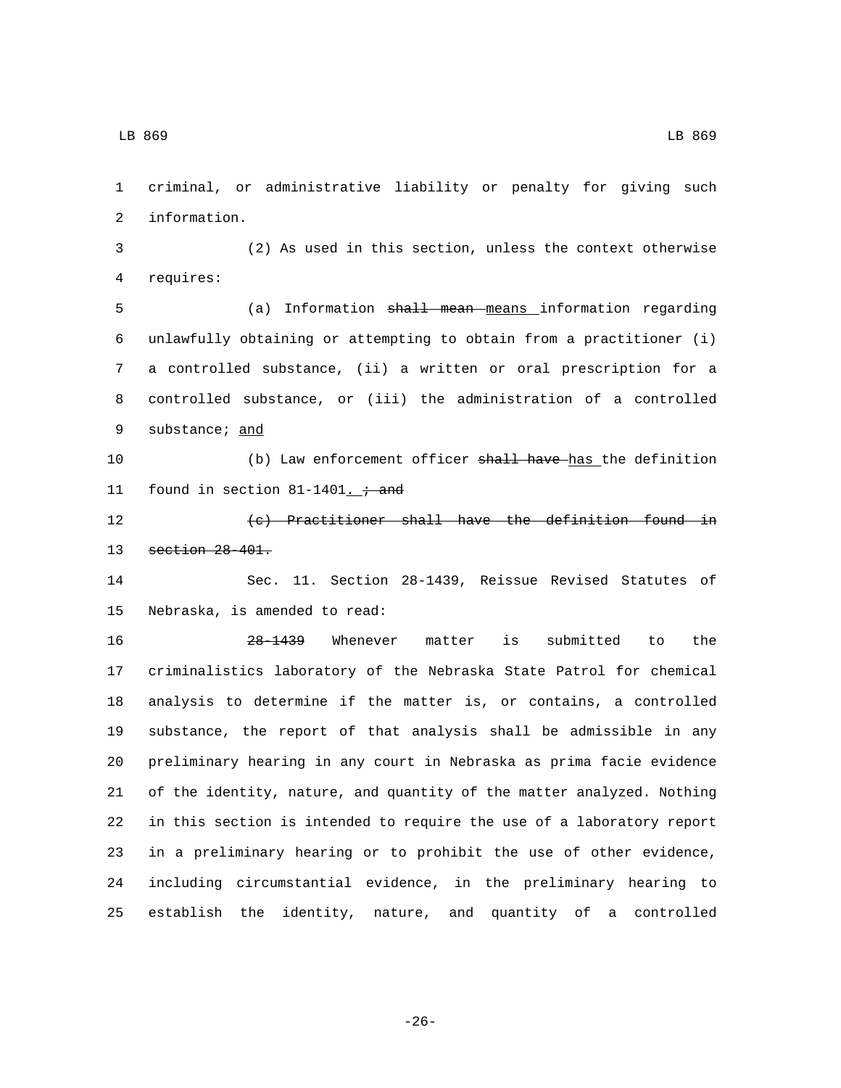criminal, or administrative liability or penalty for giving such 2 information.

 (2) As used in this section, unless the context otherwise 4 requires:

 (a) Information shall mean means information regarding unlawfully obtaining or attempting to obtain from a practitioner (i) a controlled substance, (ii) a written or oral prescription for a controlled substance, or (iii) the administration of a controlled 9 substance; and

10 (b) Law enforcement officer shall have has the definition 11 found in section  $81-1401$ .  $\div$  and

12 (c) Practitioner shall have the definition found in 13 section 28-401.

 Sec. 11. Section 28-1439, Reissue Revised Statutes of 15 Nebraska, is amended to read:

 28-1439 Whenever matter is submitted to the criminalistics laboratory of the Nebraska State Patrol for chemical analysis to determine if the matter is, or contains, a controlled substance, the report of that analysis shall be admissible in any preliminary hearing in any court in Nebraska as prima facie evidence of the identity, nature, and quantity of the matter analyzed. Nothing in this section is intended to require the use of a laboratory report in a preliminary hearing or to prohibit the use of other evidence, including circumstantial evidence, in the preliminary hearing to establish the identity, nature, and quantity of a controlled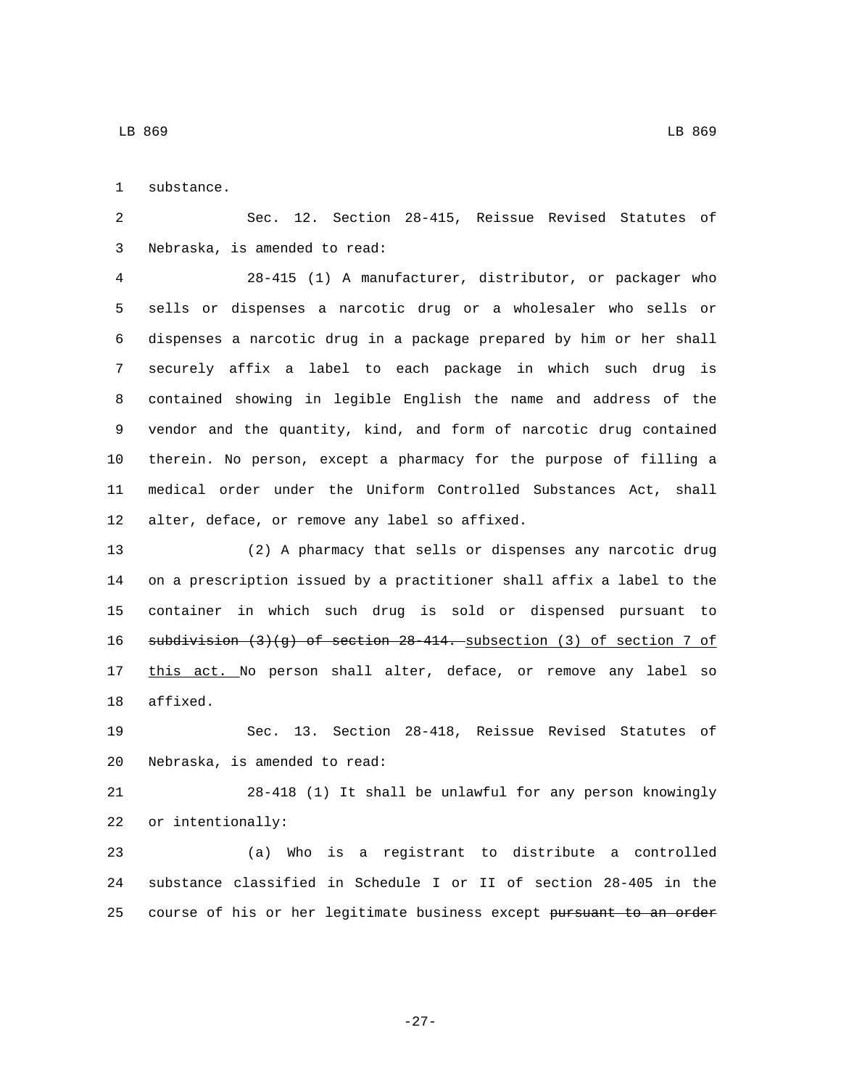1 substance.

 Sec. 12. Section 28-415, Reissue Revised Statutes of 3 Nebraska, is amended to read:

 28-415 (1) A manufacturer, distributor, or packager who sells or dispenses a narcotic drug or a wholesaler who sells or dispenses a narcotic drug in a package prepared by him or her shall securely affix a label to each package in which such drug is contained showing in legible English the name and address of the vendor and the quantity, kind, and form of narcotic drug contained therein. No person, except a pharmacy for the purpose of filling a medical order under the Uniform Controlled Substances Act, shall 12 alter, deface, or remove any label so affixed.

 (2) A pharmacy that sells or dispenses any narcotic drug on a prescription issued by a practitioner shall affix a label to the container in which such drug is sold or dispensed pursuant to subdivision (3)(g) of section 28-414. subsection (3) of section 7 of 17 this act. No person shall alter, deface, or remove any label so 18 affixed.

 Sec. 13. Section 28-418, Reissue Revised Statutes of 20 Nebraska, is amended to read:

 28-418 (1) It shall be unlawful for any person knowingly 22 or intentionally:

 (a) Who is a registrant to distribute a controlled substance classified in Schedule I or II of section 28-405 in the 25 course of his or her legitimate business except pursuant to an order

LB 869 LB 869

-27-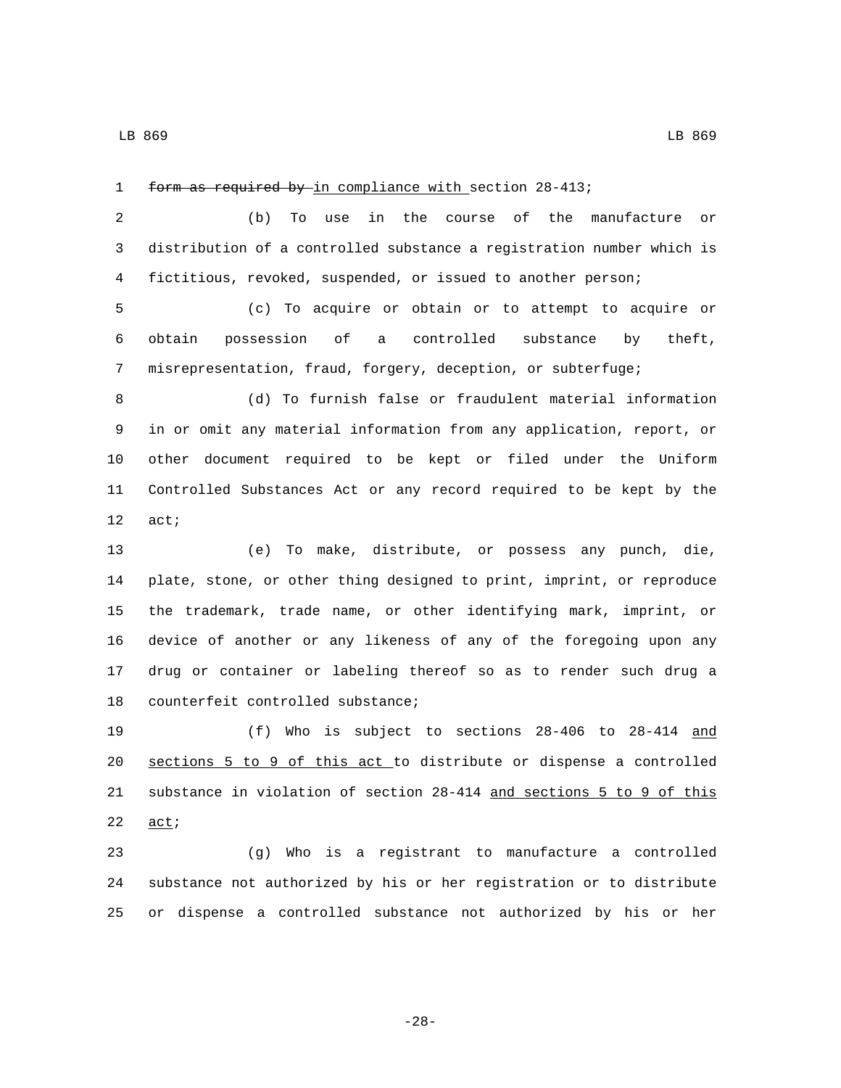1 form as required by in compliance with section 28-413;

 (b) To use in the course of the manufacture or distribution of a controlled substance a registration number which is fictitious, revoked, suspended, or issued to another person;

 (c) To acquire or obtain or to attempt to acquire or obtain possession of a controlled substance by theft, misrepresentation, fraud, forgery, deception, or subterfuge;

 (d) To furnish false or fraudulent material information in or omit any material information from any application, report, or other document required to be kept or filed under the Uniform Controlled Substances Act or any record required to be kept by the 12 act;

 (e) To make, distribute, or possess any punch, die, plate, stone, or other thing designed to print, imprint, or reproduce the trademark, trade name, or other identifying mark, imprint, or device of another or any likeness of any of the foregoing upon any drug or container or labeling thereof so as to render such drug a 18 counterfeit controlled substance;

 (f) Who is subject to sections 28-406 to 28-414 and sections 5 to 9 of this act to distribute or dispense a controlled substance in violation of section 28-414 and sections 5 to 9 of this  $act$ 

 (g) Who is a registrant to manufacture a controlled substance not authorized by his or her registration or to distribute or dispense a controlled substance not authorized by his or her

-28-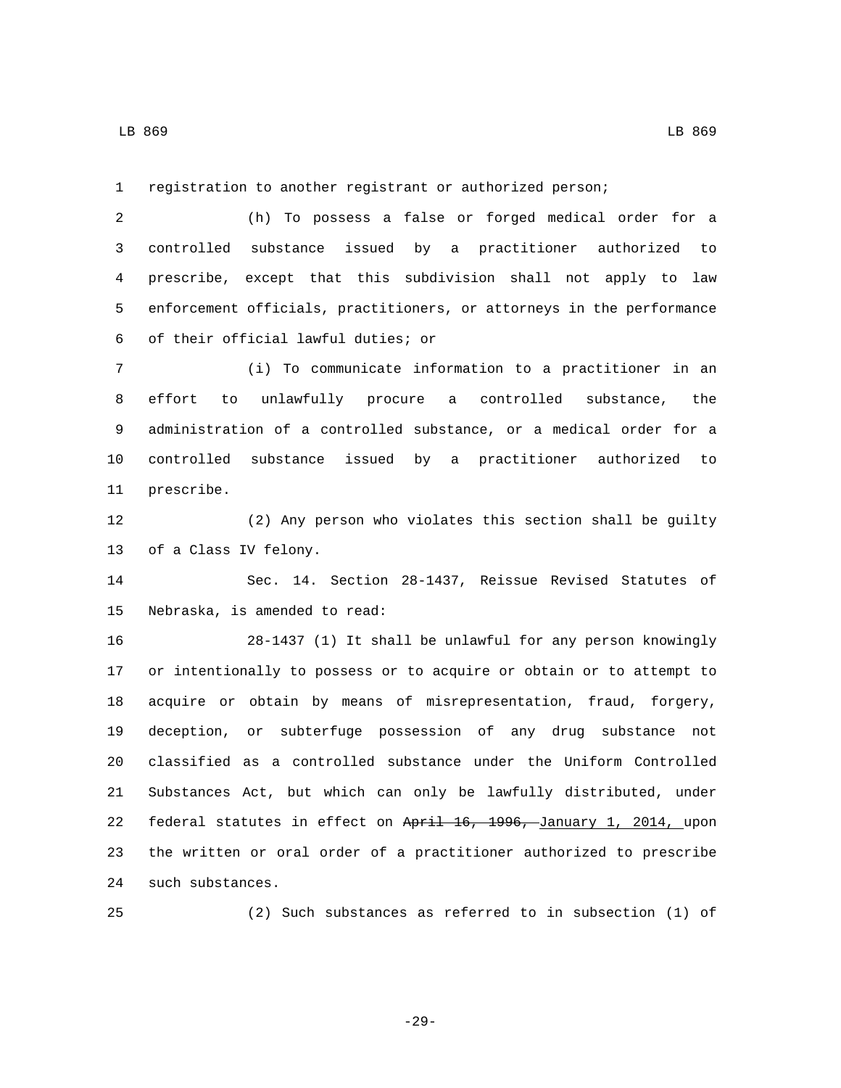LB 869 LB 869

registration to another registrant or authorized person;

 (h) To possess a false or forged medical order for a controlled substance issued by a practitioner authorized to prescribe, except that this subdivision shall not apply to law enforcement officials, practitioners, or attorneys in the performance of their official lawful duties; or6

 (i) To communicate information to a practitioner in an effort to unlawfully procure a controlled substance, the administration of a controlled substance, or a medical order for a controlled substance issued by a practitioner authorized to 11 prescribe.

 (2) Any person who violates this section shall be guilty 13 of a Class IV felony.

 Sec. 14. Section 28-1437, Reissue Revised Statutes of 15 Nebraska, is amended to read:

 28-1437 (1) It shall be unlawful for any person knowingly or intentionally to possess or to acquire or obtain or to attempt to acquire or obtain by means of misrepresentation, fraud, forgery, deception, or subterfuge possession of any drug substance not classified as a controlled substance under the Uniform Controlled Substances Act, but which can only be lawfully distributed, under 22 federal statutes in effect on April 16, 1996, January 1, 2014, upon the written or oral order of a practitioner authorized to prescribe 24 such substances.

(2) Such substances as referred to in subsection (1) of

-29-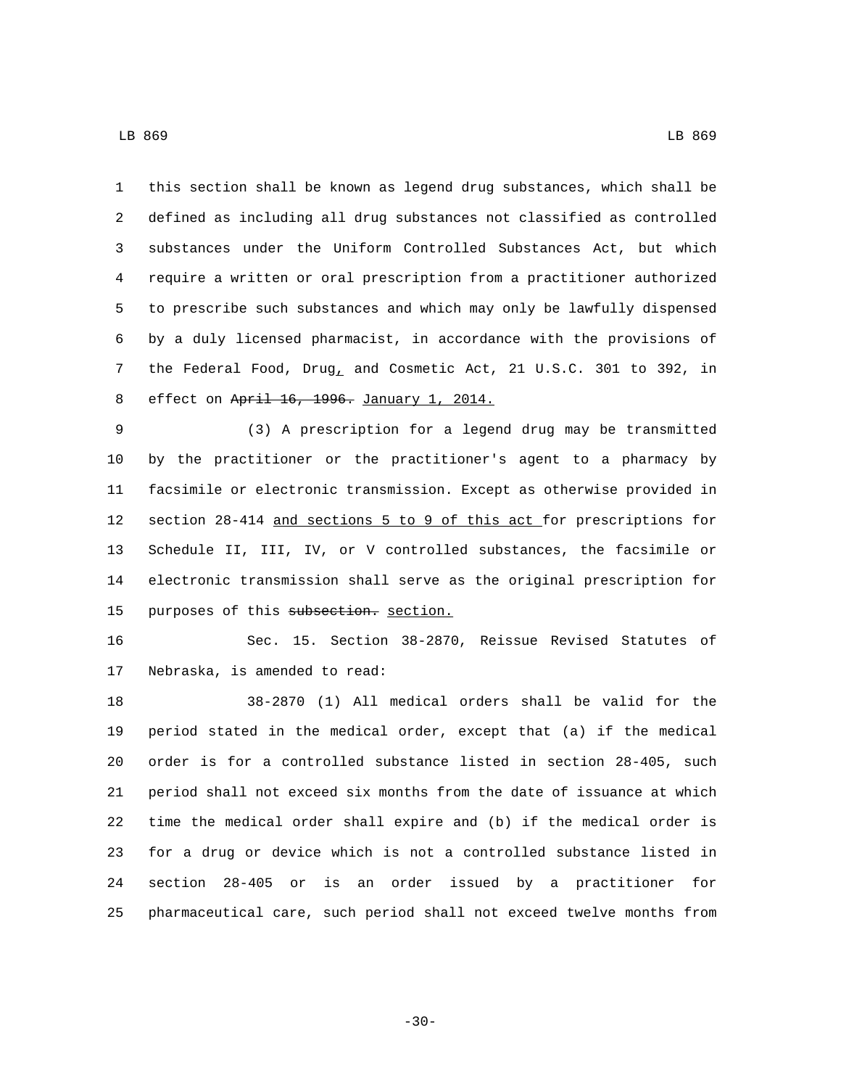LB 869 LB 869

 this section shall be known as legend drug substances, which shall be defined as including all drug substances not classified as controlled substances under the Uniform Controlled Substances Act, but which require a written or oral prescription from a practitioner authorized to prescribe such substances and which may only be lawfully dispensed by a duly licensed pharmacist, in accordance with the provisions of the Federal Food, Drug, and Cosmetic Act, 21 U.S.C. 301 to 392, in 8 effect on April 16, 1996. January 1, 2014.

 (3) A prescription for a legend drug may be transmitted by the practitioner or the practitioner's agent to a pharmacy by facsimile or electronic transmission. Except as otherwise provided in section 28-414 and sections 5 to 9 of this act for prescriptions for Schedule II, III, IV, or V controlled substances, the facsimile or electronic transmission shall serve as the original prescription for 15 purposes of this subsection. section.

 Sec. 15. Section 38-2870, Reissue Revised Statutes of 17 Nebraska, is amended to read:

 38-2870 (1) All medical orders shall be valid for the period stated in the medical order, except that (a) if the medical order is for a controlled substance listed in section 28-405, such period shall not exceed six months from the date of issuance at which time the medical order shall expire and (b) if the medical order is for a drug or device which is not a controlled substance listed in section 28-405 or is an order issued by a practitioner for pharmaceutical care, such period shall not exceed twelve months from

-30-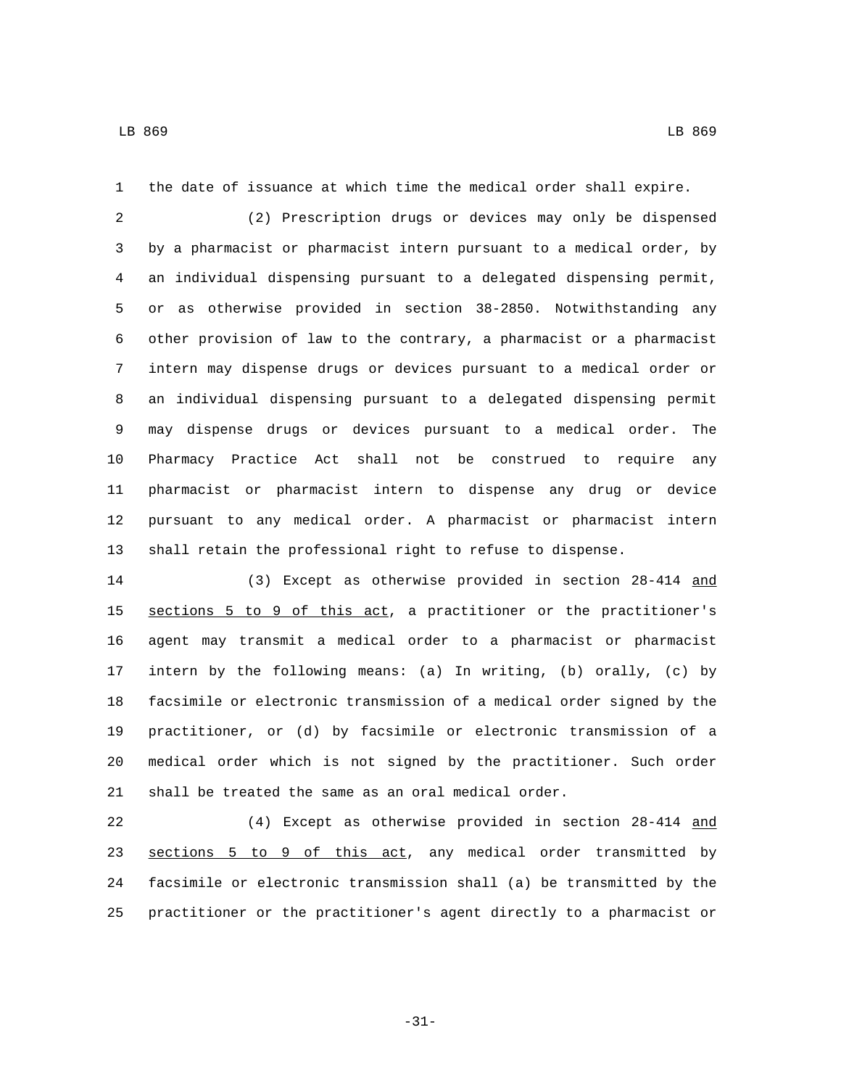the date of issuance at which time the medical order shall expire.

 (2) Prescription drugs or devices may only be dispensed by a pharmacist or pharmacist intern pursuant to a medical order, by an individual dispensing pursuant to a delegated dispensing permit, or as otherwise provided in section 38-2850. Notwithstanding any other provision of law to the contrary, a pharmacist or a pharmacist intern may dispense drugs or devices pursuant to a medical order or an individual dispensing pursuant to a delegated dispensing permit may dispense drugs or devices pursuant to a medical order. The Pharmacy Practice Act shall not be construed to require any pharmacist or pharmacist intern to dispense any drug or device pursuant to any medical order. A pharmacist or pharmacist intern shall retain the professional right to refuse to dispense.

 (3) Except as otherwise provided in section 28-414 and sections 5 to 9 of this act, a practitioner or the practitioner's agent may transmit a medical order to a pharmacist or pharmacist intern by the following means: (a) In writing, (b) orally, (c) by facsimile or electronic transmission of a medical order signed by the practitioner, or (d) by facsimile or electronic transmission of a medical order which is not signed by the practitioner. Such order shall be treated the same as an oral medical order.

 (4) Except as otherwise provided in section 28-414 and sections 5 to 9 of this act, any medical order transmitted by facsimile or electronic transmission shall (a) be transmitted by the practitioner or the practitioner's agent directly to a pharmacist or

-31-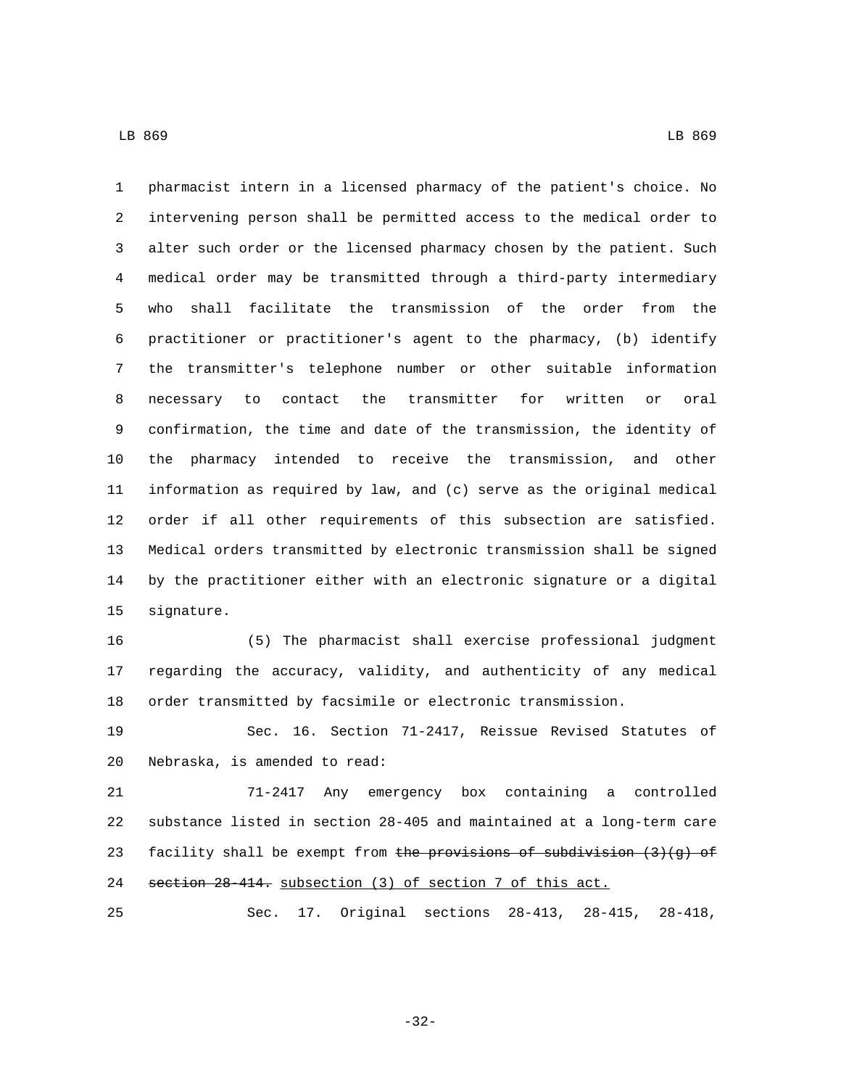pharmacist intern in a licensed pharmacy of the patient's choice. No intervening person shall be permitted access to the medical order to alter such order or the licensed pharmacy chosen by the patient. Such medical order may be transmitted through a third-party intermediary who shall facilitate the transmission of the order from the practitioner or practitioner's agent to the pharmacy, (b) identify the transmitter's telephone number or other suitable information necessary to contact the transmitter for written or oral confirmation, the time and date of the transmission, the identity of the pharmacy intended to receive the transmission, and other information as required by law, and (c) serve as the original medical order if all other requirements of this subsection are satisfied. Medical orders transmitted by electronic transmission shall be signed by the practitioner either with an electronic signature or a digital 15 signature.

 (5) The pharmacist shall exercise professional judgment regarding the accuracy, validity, and authenticity of any medical order transmitted by facsimile or electronic transmission.

 Sec. 16. Section 71-2417, Reissue Revised Statutes of 20 Nebraska, is amended to read:

 71-2417 Any emergency box containing a controlled substance listed in section 28-405 and maintained at a long-term care 23 facility shall be exempt from the provisions of subdivision  $(3)(g)$  of section 28-414. subsection (3) of section 7 of this act.

Sec. 17. Original sections 28-413, 28-415, 28-418,

-32-